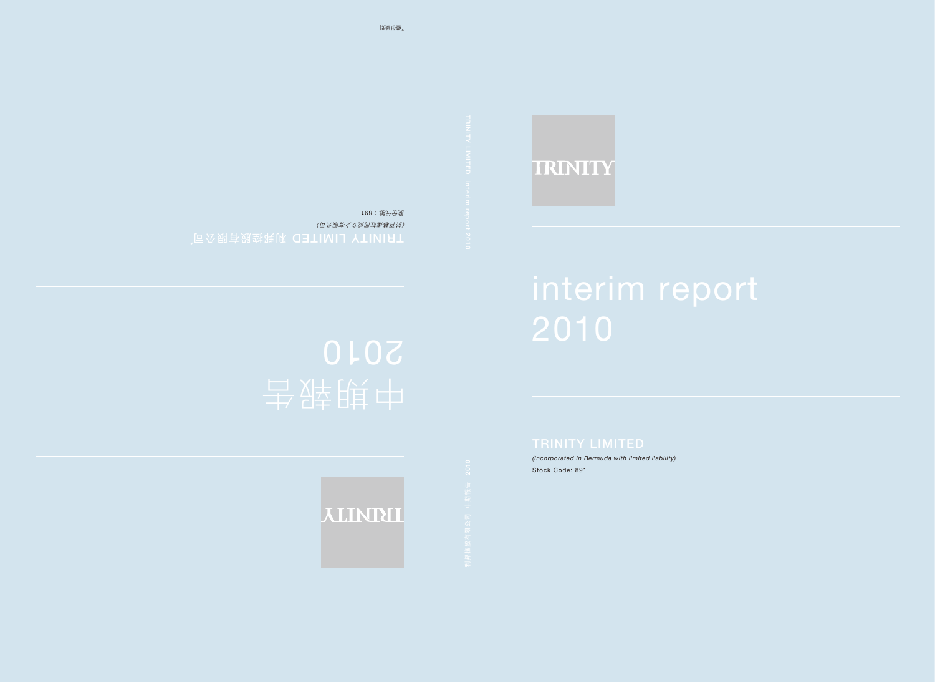# TRINITY

# interim report

*(Incorporated in Bermuda with limited liability)* Stock Code: 891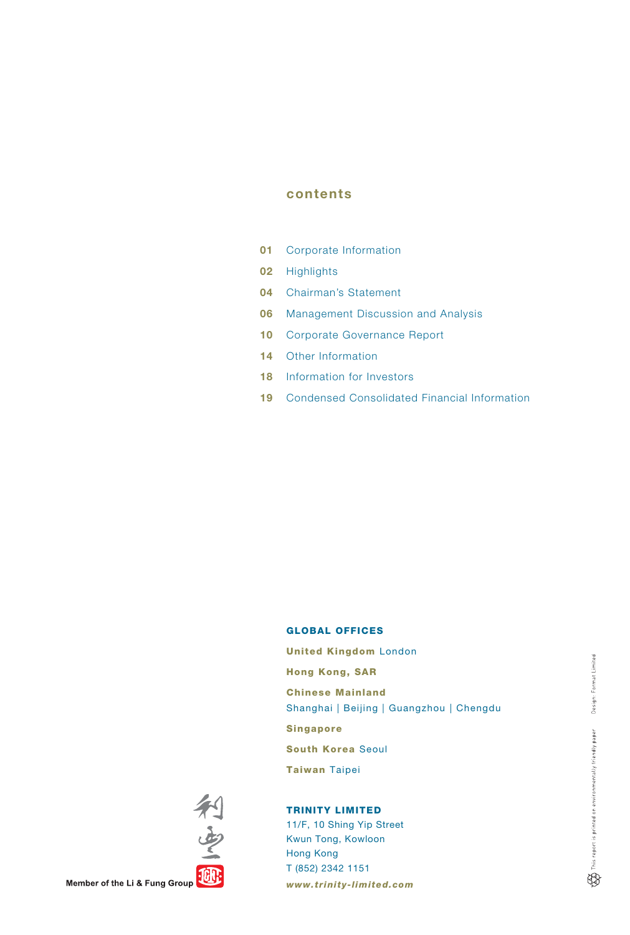# contents

- 01 Corporate Information
- 02 Highlights
- 04 Chairman's Statement
- 06 Management Discussion and Analysis
- 10 Corporate Governance Report
- 14 Other Information
- 18 Information for Investors
- 19 Condensed Consolidated Financial Information

#### GLOBAL OFFICES

United Kingdom London Hong Kong, SAR Chinese Mainland Shanghai | Beijing | Guangzhou | Chengdu Singapore South Korea Seoul Taiwan Taipei

# TRINITY LIMITED

11/F, 10 Shing Yip Street Kwun Tong, Kowloon Hong Kong T (852) 2342 1151 *www.trinity-limited.com* 



Member of the Li & Fung Group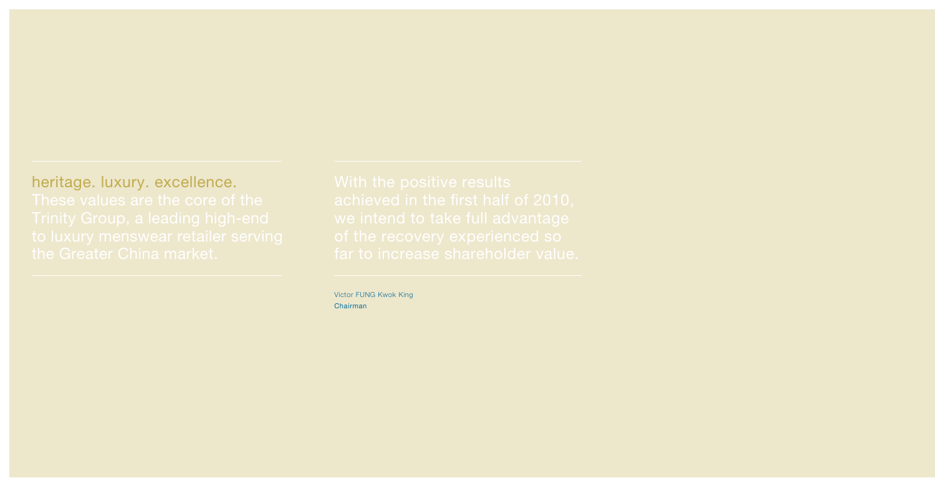heritage. luxury. excellence.

Victor FUNG Kwok King Chairman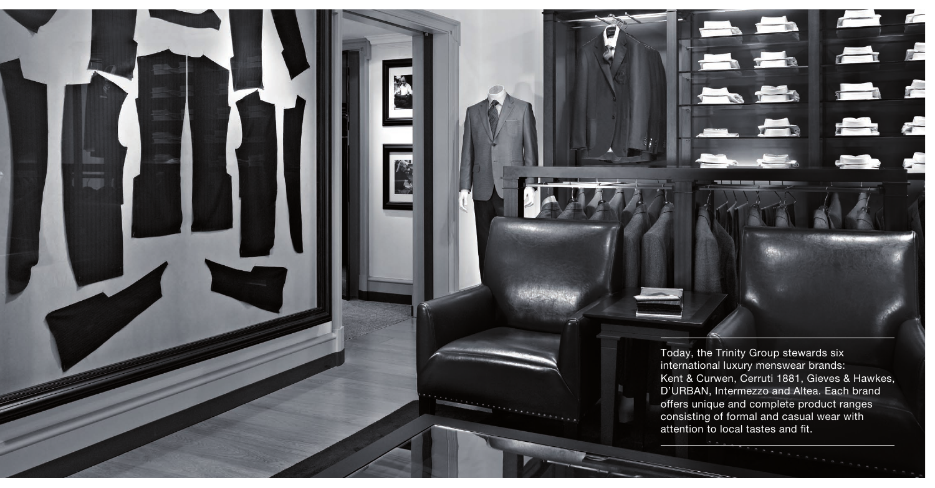

Today, the Trinity Group stewards six international luxury menswear brands: Kent & Curwen, Cerruti 1881, Gieves & Hawkes, D'URBAN, Intermezzo and Altea. Each brand offers unique and complete product ranges consisting of formal and casual wear with attention to local tastes and fit.

 $\mathbb{Z}$ 

 $\frac{1}{2}$ 

 $\frac{1}{1}$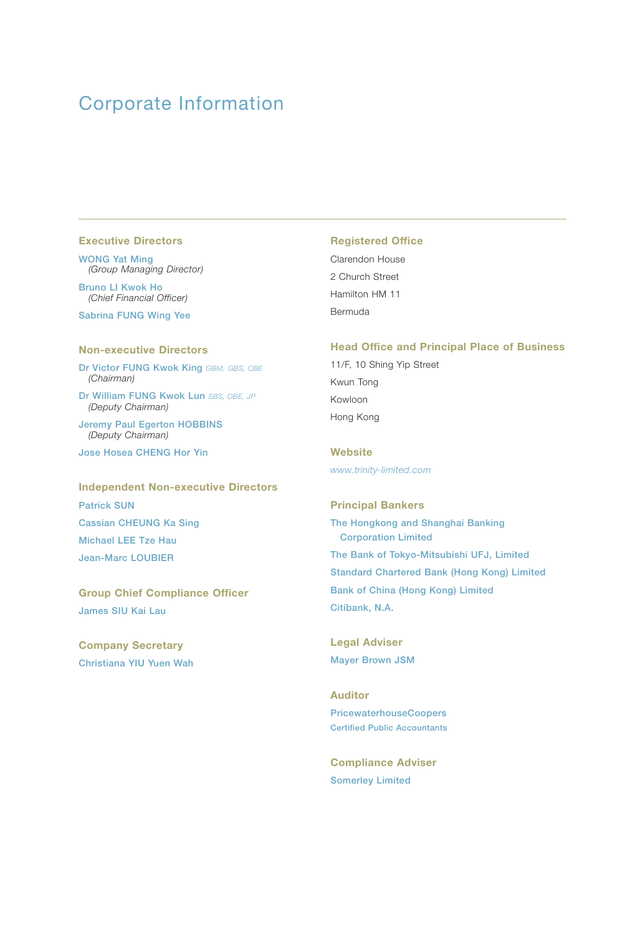# Corporate Information

#### Executive Directors

WONG Yat Ming *(Group Managing Director)*

Bruno LI Kwok Ho *(Chief Financial Officer)*

Sabrina FUNG Wing Yee

#### Non-executive Directors

Dr Victor FUNG Kwok King *GBM, GBS, CBE (Chairman)*

Dr William FUNG Kwok Lun *SBS, OBE, JP (Deputy Chairman)*

Jeremy Paul Egerton HOBBINS *(Deputy Chairman)*

Jose Hosea CHENG Hor Yin

Independent Non-executive Directors Patrick SUN Cassian CHEUNG Ka Sing Michael LEE Tze Hau Jean-Marc LOUBIER

Group Chief Compliance Officer James SIU Kai Lau

Company Secretary Christiana YIU Yuen Wah

#### Registered Office

Clarendon House 2 Church Street Hamilton HM 11 Bermuda

#### Head Office and Principal Place of Business

11/F, 10 Shing Yip Street Kwun Tong Kowloon Hong Kong

**Website** *www.trinity-limited.com*

Principal Bankers The Hongkong and Shanghai Banking Corporation Limited The Bank of Tokyo-Mitsubishi UFJ, Limited Standard Chartered Bank (Hong Kong) Limited Bank of China (Hong Kong) Limited

Citibank, N.A.

Legal Adviser Mayer Brown JSM

Auditor PricewaterhouseCoopers Certified Public Accountants

Compliance Adviser Somerley Limited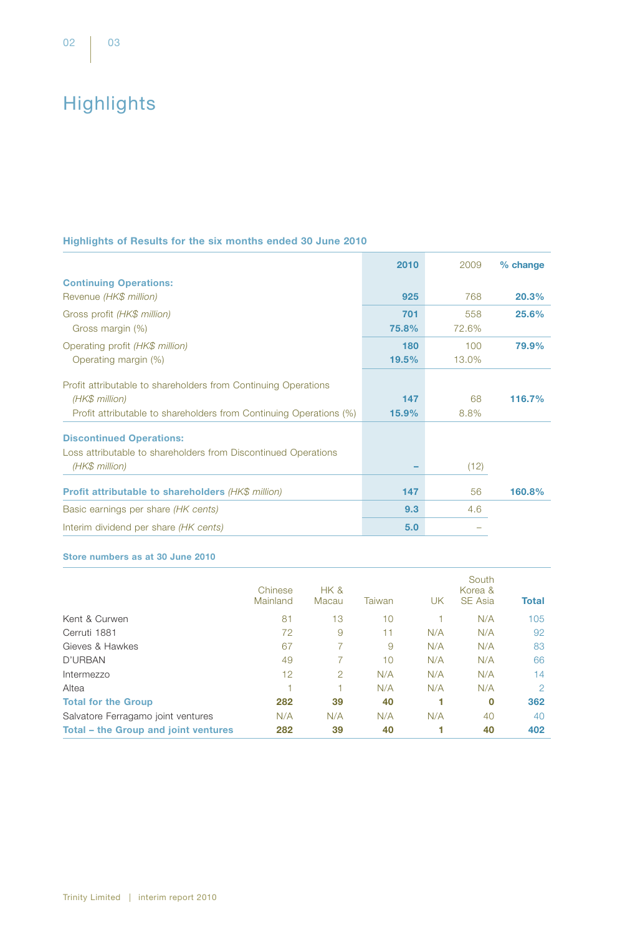# **Highlights**

# Highlights of Results for the six months ended 30 June 2010

|                                                                    | 2010     | 2009  | % change |
|--------------------------------------------------------------------|----------|-------|----------|
| <b>Continuing Operations:</b>                                      |          |       |          |
| Revenue (HK\$ million)                                             | 925      | 768   | 20.3%    |
| Gross profit (HK\$ million)                                        | 701      | 558   | 25.6%    |
| Gross margin (%)                                                   | 75.8%    | 72.6% |          |
| Operating profit (HK\$ million)                                    | 180      | 100   | 79.9%    |
| Operating margin (%)                                               | 19.5%    | 13.0% |          |
| Profit attributable to shareholders from Continuing Operations     |          |       |          |
| (HK\$ million)                                                     | 147      | 68    | 116.7%   |
| Profit attributable to shareholders from Continuing Operations (%) | $15.9\%$ | 8.8%  |          |
| <b>Discontinued Operations:</b>                                    |          |       |          |
| Loss attributable to shareholders from Discontinued Operations     |          |       |          |
| (HK\$ million)                                                     |          | (12)  |          |
| <b>Profit attributable to shareholders (HK\$ million)</b>          | 147      | 56    | 160.8%   |
| Basic earnings per share (HK cents)                                | 9.3      | 4.6   |          |
| Interim dividend per share (HK cents)                              | 5.0      |       |          |

#### Store numbers as at 30 June 2010

|                                      | Chinese<br>Mainland | HK &<br>Macau | Taiwan | UΚ  | South<br>Korea &<br><b>SE Asia</b> | <b>Total</b>  |
|--------------------------------------|---------------------|---------------|--------|-----|------------------------------------|---------------|
| Kent & Curwen                        | 81                  | 13            | 10     |     | N/A                                | 105           |
| Cerruti 1881                         | 72                  | 9             | 11     | N/A | N/A                                | 92            |
| Gieves & Hawkes                      | 67                  |               | 9      | N/A | N/A                                | 83            |
| D'URBAN                              | 49                  |               | 10     | N/A | N/A                                | 66            |
| Intermezzo                           | 12                  | 2             | N/A    | N/A | N/A                                | 14            |
| Altea                                |                     |               | N/A    | N/A | N/A                                | $\mathcal{P}$ |
| <b>Total for the Group</b>           | 282                 | 39            | 40     |     | $\bf{0}$                           | 362           |
| Salvatore Ferragamo joint ventures   | N/A                 | N/A           | N/A    | N/A | 40                                 | 40            |
| Total – the Group and joint ventures | 282                 | 39            | 40     |     | 40                                 | 402           |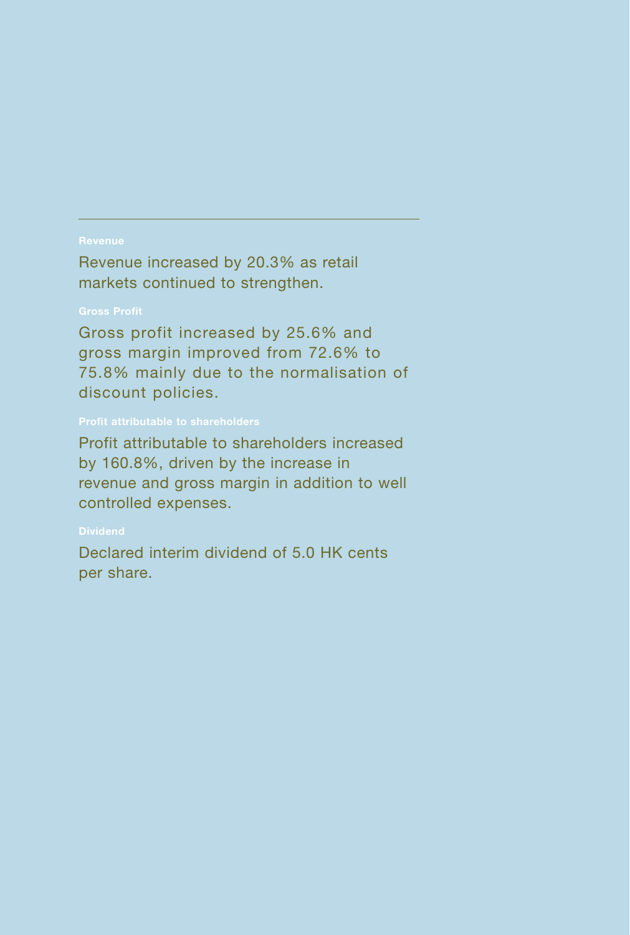## Revenue

Revenue increased by 20.3% as retail markets continued to strengthen.

# Gross Profit

Gross profit increased by 25.6% and gross margin improved from 72.6% to 75.8% mainly due to the normalisation of discount policies.

# Profit attributable to shareholders

Profit attributable to shareholders increased by 160.8%, driven by the increase in revenue and gross margin in addition to well controlled expenses.

# **Dividend**

Declared interim dividend of 5.0 HK cents per share.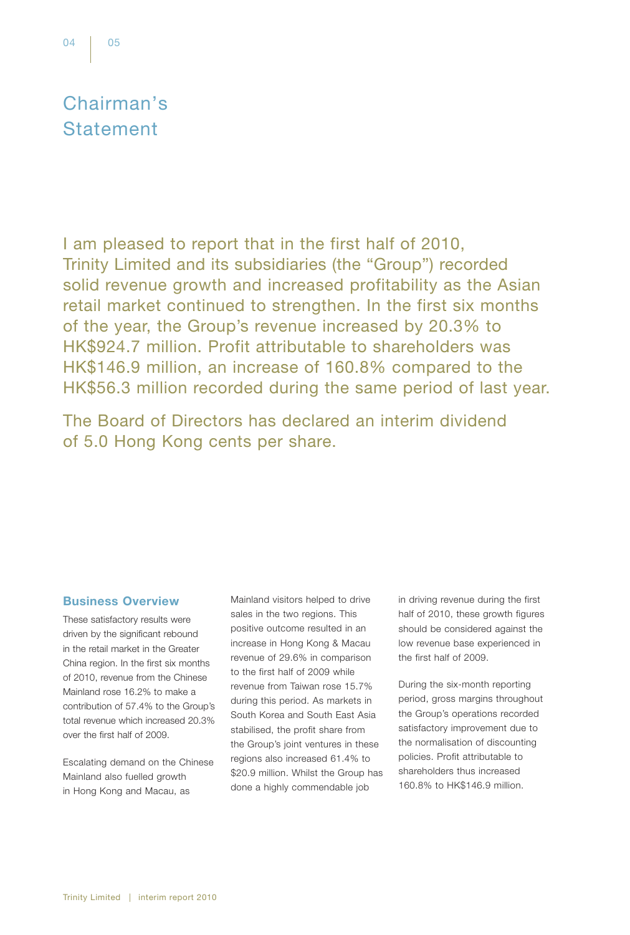# Chairman's **Statement**

I am pleased to report that in the first half of 2010, Trinity Limited and its subsidiaries (the "Group") recorded solid revenue growth and increased profitability as the Asian retail market continued to strengthen. In the first six months of the year, the Group's revenue increased by 20.3% to HK\$924.7 million. Profit attributable to shareholders was HK\$146.9 million, an increase of 160.8% compared to the HK\$56.3 million recorded during the same period of last year.

The Board of Directors has declared an interim dividend of 5.0 Hong Kong cents per share.

## Business Overview

These satisfactory results were driven by the significant rebound in the retail market in the Greater China region. In the first six months of 2010, revenue from the Chinese Mainland rose 16.2% to make a contribution of 57.4% to the Group's total revenue which increased 20.3% over the first half of 2009.

Escalating demand on the Chinese Mainland also fuelled growth in Hong Kong and Macau, as

Mainland visitors helped to drive sales in the two regions. This positive outcome resulted in an increase in Hong Kong & Macau revenue of 29.6% in comparison to the first half of 2009 while revenue from Taiwan rose 15.7% during this period. As markets in South Korea and South East Asia stabilised, the profit share from the Group's joint ventures in these regions also increased 61.4% to \$20.9 million. Whilst the Group has done a highly commendable job

in driving revenue during the first half of 2010, these growth figures should be considered against the low revenue base experienced in the first half of 2009.

During the six-month reporting period, gross margins throughout the Group's operations recorded satisfactory improvement due to the normalisation of discounting policies. Profit attributable to shareholders thus increased 160.8% to HK\$146.9 million.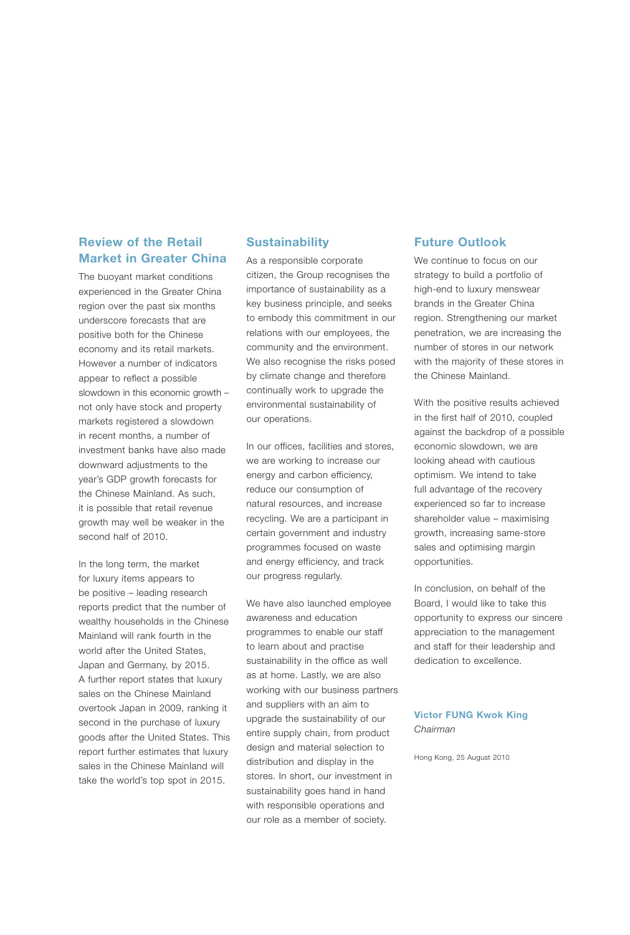# Review of the Retail Market in Greater China

The buoyant market conditions experienced in the Greater China region over the past six months underscore forecasts that are positive both for the Chinese economy and its retail markets. However a number of indicators appear to reflect a possible slowdown in this economic growth – not only have stock and property markets registered a slowdown in recent months, a number of investment banks have also made downward adjustments to the year's GDP growth forecasts for the Chinese Mainland. As such, it is possible that retail revenue growth may well be weaker in the second half of 2010.

In the long term, the market for luxury items appears to be positive – leading research reports predict that the number of wealthy households in the Chinese Mainland will rank fourth in the world after the United States, Japan and Germany, by 2015. A further report states that luxury sales on the Chinese Mainland overtook Japan in 2009, ranking it second in the purchase of luxury goods after the United States. This report further estimates that luxury sales in the Chinese Mainland will take the world's top spot in 2015.

#### **Sustainability**

As a responsible corporate citizen, the Group recognises the importance of sustainability as a key business principle, and seeks to embody this commitment in our relations with our employees, the community and the environment. We also recognise the risks posed by climate change and therefore continually work to upgrade the environmental sustainability of our operations.

In our offices, facilities and stores, we are working to increase our energy and carbon efficiency, reduce our consumption of natural resources, and increase recycling. We are a participant in certain government and industry programmes focused on waste and energy efficiency, and track our progress regularly.

We have also launched employee awareness and education programmes to enable our staff to learn about and practise sustainability in the office as well as at home. Lastly, we are also working with our business partners and suppliers with an aim to upgrade the sustainability of our entire supply chain, from product design and material selection to distribution and display in the stores. In short, our investment in sustainability goes hand in hand with responsible operations and our role as a member of society.

# Future Outlook

We continue to focus on our strategy to build a portfolio of high-end to luxury menswear brands in the Greater China region. Strengthening our market penetration, we are increasing the number of stores in our network with the majority of these stores in the Chinese Mainland.

With the positive results achieved in the first half of 2010, coupled against the backdrop of a possible economic slowdown, we are looking ahead with cautious optimism. We intend to take full advantage of the recovery experienced so far to increase shareholder value – maximising growth, increasing same-store sales and optimising margin opportunities.

In conclusion, on behalf of the Board, I would like to take this opportunity to express our sincere appreciation to the management and staff for their leadership and dedication to excellence.

## Victor FUNG Kwok King *Chairman*

Hong Kong, 25 August 2010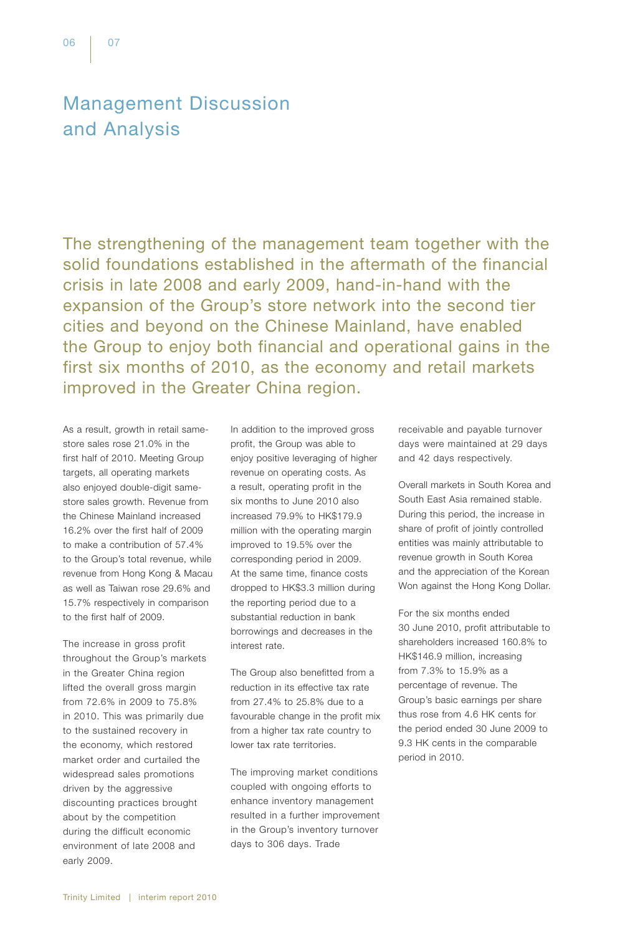# Management Discussion and Analysis

The strengthening of the management team together with the solid foundations established in the aftermath of the financial crisis in late 2008 and early 2009, hand-in-hand with the expansion of the Group's store network into the second tier cities and beyond on the Chinese Mainland, have enabled the Group to enjoy both financial and operational gains in the first six months of 2010, as the economy and retail markets improved in the Greater China region.

As a result, growth in retail samestore sales rose 21.0% in the first half of 2010. Meeting Group targets, all operating markets also enjoyed double-digit samestore sales growth. Revenue from the Chinese Mainland increased 16.2% over the first half of 2009 to make a contribution of 57.4% to the Group's total revenue, while revenue from Hong Kong & Macau as well as Taiwan rose 29.6% and 15.7% respectively in comparison to the first half of 2009.

The increase in gross profit throughout the Group's markets in the Greater China region lifted the overall gross margin from 72.6% in 2009 to 75.8% in 2010. This was primarily due to the sustained recovery in the economy, which restored market order and curtailed the widespread sales promotions driven by the aggressive discounting practices brought about by the competition during the difficult economic environment of late 2008 and early 2009.

In addition to the improved gross profit, the Group was able to enjoy positive leveraging of higher revenue on operating costs. As a result, operating profit in the six months to June 2010 also increased 79.9% to HK\$179.9 million with the operating margin improved to 19.5% over the corresponding period in 2009. At the same time, finance costs dropped to HK\$3.3 million during the reporting period due to a substantial reduction in bank borrowings and decreases in the interest rate.

The Group also benefitted from a reduction in its effective tax rate from 27.4% to 25.8% due to a favourable change in the profit mix from a higher tax rate country to lower tax rate territories.

The improving market conditions coupled with ongoing efforts to enhance inventory management resulted in a further improvement in the Group's inventory turnover days to 306 days. Trade

receivable and payable turnover days were maintained at 29 days and 42 days respectively.

Overall markets in South Korea and South East Asia remained stable. During this period, the increase in share of profit of jointly controlled entities was mainly attributable to revenue growth in South Korea and the appreciation of the Korean Won against the Hong Kong Dollar.

For the six months ended 30 June 2010, profit attributable to shareholders increased 160.8% to HK\$146.9 million, increasing from 7.3% to 15.9% as a percentage of revenue. The Group's basic earnings per share thus rose from 4.6 HK cents for the period ended 30 June 2009 to 9.3 HK cents in the comparable period in 2010.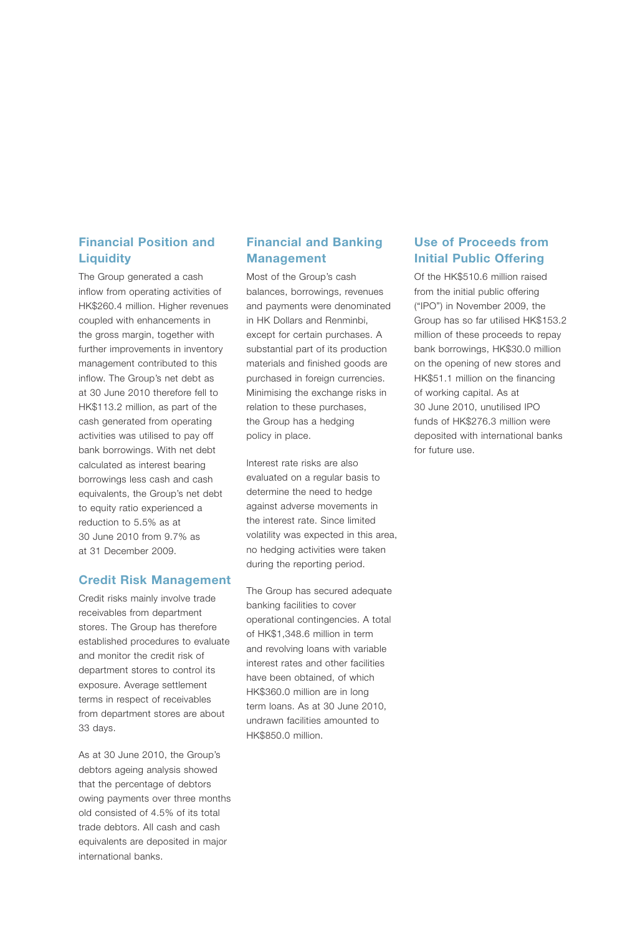# Financial Position and **Liquidity**

The Group generated a cash inflow from operating activities of HK\$260.4 million. Higher revenues coupled with enhancements in the gross margin, together with further improvements in inventory management contributed to this inflow. The Group's net debt as at 30 June 2010 therefore fell to HK\$113.2 million, as part of the cash generated from operating activities was utilised to pay off bank borrowings. With net debt calculated as interest bearing borrowings less cash and cash equivalents, the Group's net debt to equity ratio experienced a reduction to 5.5% as at 30 June 2010 from 9.7% as at 31 December 2009.

#### Credit Risk Management

Credit risks mainly involve trade receivables from department stores. The Group has therefore established procedures to evaluate and monitor the credit risk of department stores to control its exposure. Average settlement terms in respect of receivables from department stores are about 33 days.

As at 30 June 2010, the Group's debtors ageing analysis showed that the percentage of debtors owing payments over three months old consisted of 4.5% of its total trade debtors. All cash and cash equivalents are deposited in major international banks.

# Financial and Banking Management

Most of the Group's cash balances, borrowings, revenues and payments were denominated in HK Dollars and Renminbi, except for certain purchases. A substantial part of its production materials and finished goods are purchased in foreign currencies. Minimising the exchange risks in relation to these purchases, the Group has a hedging policy in place.

Interest rate risks are also evaluated on a regular basis to determine the need to hedge against adverse movements in the interest rate. Since limited volatility was expected in this area, no hedging activities were taken during the reporting period.

The Group has secured adequate banking facilities to cover operational contingencies. A total of HK\$1,348.6 million in term and revolving loans with variable interest rates and other facilities have been obtained, of which HK\$360.0 million are in long term loans. As at 30 June 2010, undrawn facilities amounted to HK\$850.0 million.

# Use of Proceeds from Initial Public Offering

Of the HK\$510.6 million raised from the initial public offering ("IPO") in November 2009, the Group has so far utilised HK\$153.2 million of these proceeds to repay bank borrowings, HK\$30.0 million on the opening of new stores and HK\$51.1 million on the financing of working capital. As at 30 June 2010, unutilised IPO funds of HK\$276.3 million were deposited with international banks for future use.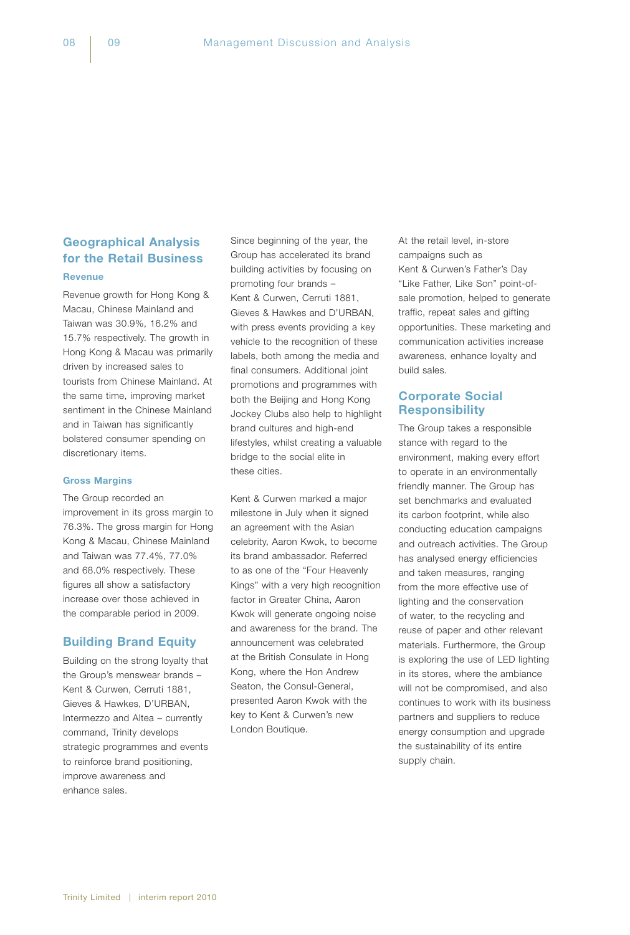# Geographical Analysis for the Retail Business

**Revenue** 

Revenue growth for Hong Kong & Macau, Chinese Mainland and Taiwan was 30.9%, 16.2% and 15.7% respectively. The growth in Hong Kong & Macau was primarily driven by increased sales to tourists from Chinese Mainland. At the same time, improving market sentiment in the Chinese Mainland and in Taiwan has significantly bolstered consumer spending on discretionary items.

#### Gross Margins

The Group recorded an improvement in its gross margin to 76.3%. The gross margin for Hong Kong & Macau, Chinese Mainland and Taiwan was 77.4%, 77.0% and 68.0% respectively. These figures all show a satisfactory increase over those achieved in the comparable period in 2009.

## Building Brand Equity

Building on the strong loyalty that the Group's menswear brands – Kent & Curwen, Cerruti 1881, Gieves & Hawkes, D'URBAN, Intermezzo and Altea – currently command, Trinity develops strategic programmes and events to reinforce brand positioning, improve awareness and enhance sales.

Since beginning of the year, the Group has accelerated its brand building activities by focusing on promoting four brands – Kent & Curwen, Cerruti 1881, Gieves & Hawkes and D'URBAN, with press events providing a key vehicle to the recognition of these labels, both among the media and final consumers. Additional joint promotions and programmes with both the Beijing and Hong Kong Jockey Clubs also help to highlight brand cultures and high-end lifestyles, whilst creating a valuable bridge to the social elite in these cities.

Kent & Curwen marked a major milestone in July when it signed an agreement with the Asian celebrity, Aaron Kwok, to become its brand ambassador. Referred to as one of the "Four Heavenly Kings" with a very high recognition factor in Greater China, Aaron Kwok will generate ongoing noise and awareness for the brand. The announcement was celebrated at the British Consulate in Hong Kong, where the Hon Andrew Seaton, the Consul-General, presented Aaron Kwok with the key to Kent & Curwen's new London Boutique.

At the retail level, in-store campaigns such as Kent & Curwen's Father's Day "Like Father, Like Son" point-ofsale promotion, helped to generate traffic, repeat sales and gifting opportunities. These marketing and communication activities increase awareness, enhance loyalty and build sales.

# Corporate Social **Responsibility**

The Group takes a responsible stance with regard to the environment, making every effort to operate in an environmentally friendly manner. The Group has set benchmarks and evaluated its carbon footprint, while also conducting education campaigns and outreach activities. The Group has analysed energy efficiencies and taken measures, ranging from the more effective use of lighting and the conservation of water, to the recycling and reuse of paper and other relevant materials. Furthermore, the Group is exploring the use of LED lighting in its stores, where the ambiance will not be compromised, and also continues to work with its business partners and suppliers to reduce energy consumption and upgrade the sustainability of its entire supply chain.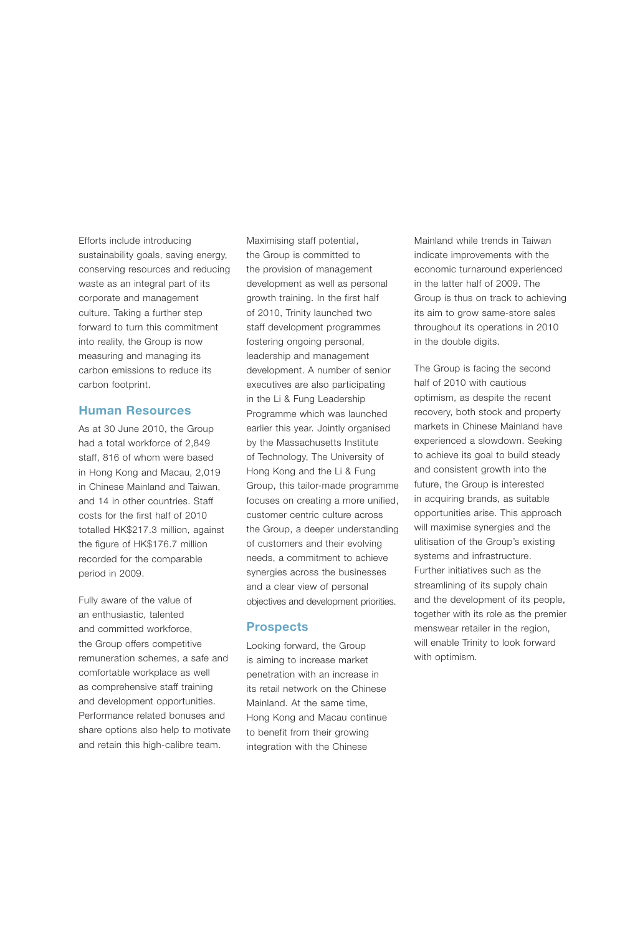Efforts include introducing sustainability goals, saving energy, conserving resources and reducing waste as an integral part of its corporate and management culture. Taking a further step forward to turn this commitment into reality, the Group is now measuring and managing its carbon emissions to reduce its carbon footprint.

#### Human Resources

As at 30 June 2010, the Group had a total workforce of 2,849 staff, 816 of whom were based in Hong Kong and Macau, 2,019 in Chinese Mainland and Taiwan, and 14 in other countries. Staff costs for the first half of 2010 totalled HK\$217.3 million, against the figure of HK\$176.7 million recorded for the comparable period in 2009.

Fully aware of the value of an enthusiastic, talented and committed workforce, the Group offers competitive remuneration schemes, a safe and comfortable workplace as well as comprehensive staff training and development opportunities. Performance related bonuses and share options also help to motivate and retain this high-calibre team.

Maximising staff potential, the Group is committed to the provision of management development as well as personal growth training. In the first half of 2010, Trinity launched two staff development programmes fostering ongoing personal, leadership and management development. A number of senior executives are also participating in the Li & Fung Leadership Programme which was launched earlier this year. Jointly organised by the Massachusetts Institute of Technology, The University of Hong Kong and the Li & Fung Group, this tailor-made programme focuses on creating a more unified, customer centric culture across the Group, a deeper understanding of customers and their evolving needs, a commitment to achieve synergies across the businesses and a clear view of personal objectives and development priorities.

#### **Prospects**

Looking forward, the Group is aiming to increase market penetration with an increase in its retail network on the Chinese Mainland. At the same time, Hong Kong and Macau continue to benefit from their growing integration with the Chinese

Mainland while trends in Taiwan indicate improvements with the economic turnaround experienced in the latter half of 2009. The Group is thus on track to achieving its aim to grow same-store sales throughout its operations in 2010 in the double digits.

The Group is facing the second half of 2010 with cautious optimism, as despite the recent recovery, both stock and property markets in Chinese Mainland have experienced a slowdown. Seeking to achieve its goal to build steady and consistent growth into the future, the Group is interested in acquiring brands, as suitable opportunities arise. This approach will maximise synergies and the ulitisation of the Group's existing systems and infrastructure. Further initiatives such as the streamlining of its supply chain and the development of its people, together with its role as the premier menswear retailer in the region, will enable Trinity to look forward with optimism.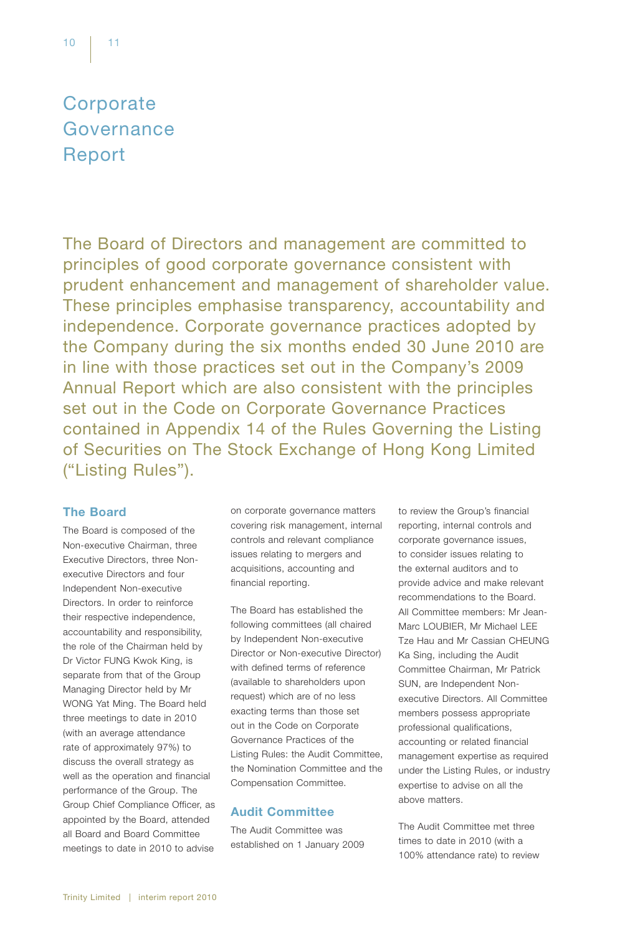# **Corporate** Governance Report

The Board of Directors and management are committed to principles of good corporate governance consistent with prudent enhancement and management of shareholder value. These principles emphasise transparency, accountability and independence. Corporate governance practices adopted by the Company during the six months ended 30 June 2010 are in line with those practices set out in the Company's 2009 Annual Report which are also consistent with the principles set out in the Code on Corporate Governance Practices contained in Appendix 14 of the Rules Governing the Listing of Securities on The Stock Exchange of Hong Kong Limited ("Listing Rules").

# The Board

The Board is composed of the Non-executive Chairman, three Executive Directors, three Nonexecutive Directors and four Independent Non-executive Directors. In order to reinforce their respective independence, accountability and responsibility, the role of the Chairman held by Dr Victor FUNG Kwok King, is separate from that of the Group Managing Director held by Mr WONG Yat Ming. The Board held three meetings to date in 2010 (with an average attendance rate of approximately 97%) to discuss the overall strategy as well as the operation and financial performance of the Group. The Group Chief Compliance Officer, as appointed by the Board, attended all Board and Board Committee meetings to date in 2010 to advise

on corporate governance matters covering risk management, internal controls and relevant compliance issues relating to mergers and acquisitions, accounting and financial reporting.

The Board has established the following committees (all chaired by Independent Non-executive Director or Non-executive Director) with defined terms of reference (available to shareholders upon request) which are of no less exacting terms than those set out in the Code on Corporate Governance Practices of the Listing Rules: the Audit Committee, the Nomination Committee and the Compensation Committee.

# Audit Committee

The Audit Committee was established on 1 January 2009 to review the Group's financial reporting, internal controls and corporate governance issues, to consider issues relating to the external auditors and to provide advice and make relevant recommendations to the Board. All Committee members: Mr Jean-Marc LOUBIER, Mr Michael LEE Tze Hau and Mr Cassian CHEUNG Ka Sing, including the Audit Committee Chairman, Mr Patrick SUN, are Independent Nonexecutive Directors. All Committee members possess appropriate professional qualifications, accounting or related financial management expertise as required under the Listing Rules, or industry expertise to advise on all the above matters.

The Audit Committee met three times to date in 2010 (with a 100% attendance rate) to review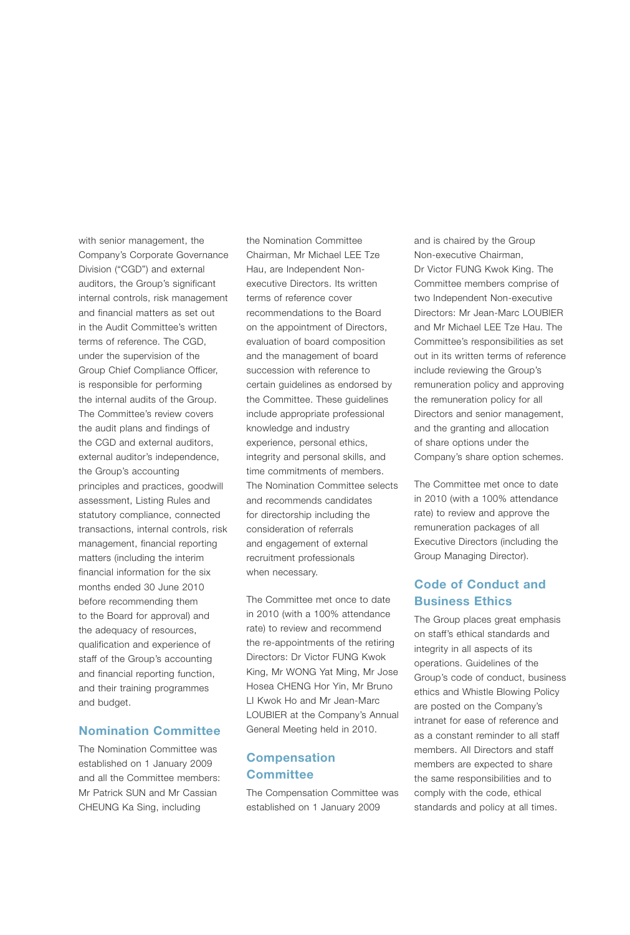with senior management, the Company's Corporate Governance Division ("CGD") and external auditors, the Group's significant internal controls, risk management and financial matters as set out in the Audit Committee's written terms of reference. The CGD, under the supervision of the Group Chief Compliance Officer, is responsible for performing the internal audits of the Group. The Committee's review covers the audit plans and findings of the CGD and external auditors, external auditor's independence, the Group's accounting principles and practices, goodwill assessment, Listing Rules and statutory compliance, connected transactions, internal controls, risk management, financial reporting matters (including the interim financial information for the six months ended 30 June 2010 before recommending them to the Board for approval) and the adequacy of resources, qualification and experience of staff of the Group's accounting and financial reporting function, and their training programmes and budget.

## Nomination Committee

The Nomination Committee was established on 1 January 2009 and all the Committee members: Mr Patrick SUN and Mr Cassian CHEUNG Ka Sing, including

the Nomination Committee Chairman, Mr Michael LEE Tze Hau, are Independent Nonexecutive Directors. Its written terms of reference cover recommendations to the Board on the appointment of Directors, evaluation of board composition and the management of board succession with reference to certain guidelines as endorsed by the Committee. These guidelines include appropriate professional knowledge and industry experience, personal ethics, integrity and personal skills, and time commitments of members. The Nomination Committee selects and recommends candidates for directorship including the consideration of referrals and engagement of external recruitment professionals when necessary.

The Committee met once to date in 2010 (with a 100% attendance rate) to review and recommend the re-appointments of the retiring Directors: Dr Victor FUNG Kwok King, Mr WONG Yat Ming, Mr Jose Hosea CHENG Hor Yin, Mr Bruno LI Kwok Ho and Mr Jean-Marc LOUBIER at the Company's Annual General Meeting held in 2010.

# Compensation **Committee**

The Compensation Committee was established on 1 January 2009

and is chaired by the Group Non-executive Chairman, Dr Victor FUNG Kwok King. The Committee members comprise of two Independent Non-executive Directors: Mr Jean-Marc LOUBIER and Mr Michael LEE Tze Hau. The Committee's responsibilities as set out in its written terms of reference include reviewing the Group's remuneration policy and approving the remuneration policy for all Directors and senior management, and the granting and allocation of share options under the Company's share option schemes.

The Committee met once to date in 2010 (with a 100% attendance rate) to review and approve the remuneration packages of all Executive Directors (including the Group Managing Director).

# Code of Conduct and Business Ethics

The Group places great emphasis on staff's ethical standards and integrity in all aspects of its operations. Guidelines of the Group's code of conduct, business ethics and Whistle Blowing Policy are posted on the Company's intranet for ease of reference and as a constant reminder to all staff members. All Directors and staff members are expected to share the same responsibilities and to comply with the code, ethical standards and policy at all times.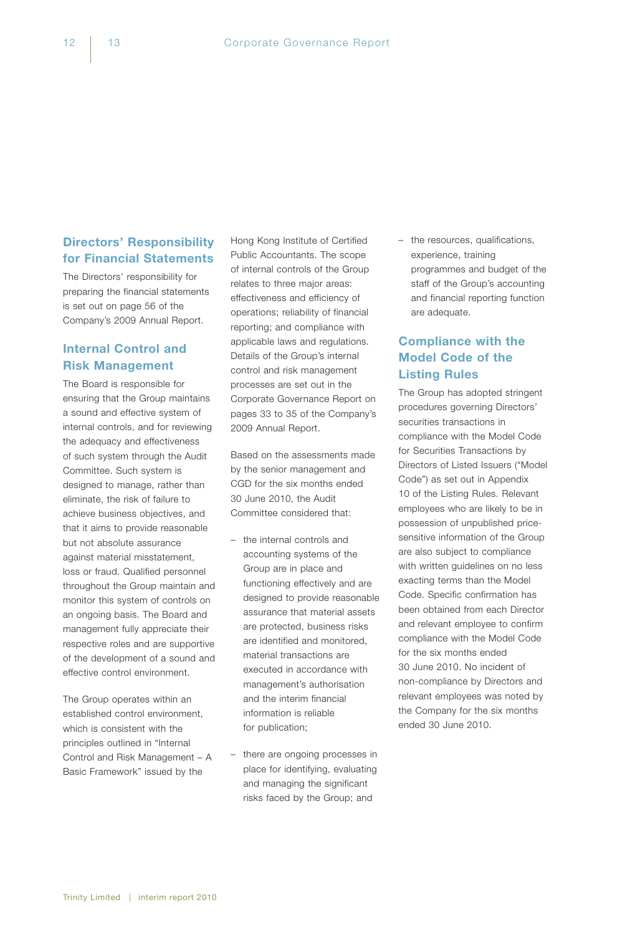# Directors' Responsibility for Financial Statements

The Directors' responsibility for preparing the financial statements is set out on page 56 of the Company's 2009 Annual Report.

# Internal Control and Risk Management

The Board is responsible for ensuring that the Group maintains a sound and effective system of internal controls, and for reviewing the adequacy and effectiveness of such system through the Audit Committee. Such system is designed to manage, rather than eliminate, the risk of failure to achieve business objectives, and that it aims to provide reasonable but not absolute assurance against material misstatement, loss or fraud. Qualified personnel throughout the Group maintain and monitor this system of controls on an ongoing basis. The Board and management fully appreciate their respective roles and are supportive of the development of a sound and effective control environment.

The Group operates within an established control environment, which is consistent with the principles outlined in "Internal Control and Risk Management – A Basic Framework" issued by the

Hong Kong Institute of Certified Public Accountants. The scope of internal controls of the Group relates to three major areas: effectiveness and efficiency of operations; reliability of financial reporting; and compliance with applicable laws and regulations. Details of the Group's internal control and risk management processes are set out in the Corporate Governance Report on pages 33 to 35 of the Company's 2009 Annual Report.

Based on the assessments made by the senior management and CGD for the six months ended 30 June 2010, the Audit Committee considered that:

- the internal controls and accounting systems of the Group are in place and functioning effectively and are designed to provide reasonable assurance that material assets are protected, business risks are identified and monitored, material transactions are executed in accordance with management's authorisation and the interim financial information is reliable for publication;
- there are ongoing processes in place for identifying, evaluating and managing the significant risks faced by the Group; and

– the resources, qualifications, experience, training programmes and budget of the staff of the Group's accounting and financial reporting function are adequate.

# Compliance with the Model Code of the Listing Rules

The Group has adopted stringent procedures governing Directors' securities transactions in compliance with the Model Code for Securities Transactions by Directors of Listed Issuers ("Model Code") as set out in Appendix 10 of the Listing Rules. Relevant employees who are likely to be in possession of unpublished pricesensitive information of the Group are also subject to compliance with written guidelines on no less exacting terms than the Model Code. Specific confirmation has been obtained from each Director and relevant employee to confirm compliance with the Model Code for the six months ended 30 June 2010. No incident of non-compliance by Directors and relevant employees was noted by the Company for the six months ended 30 June 2010.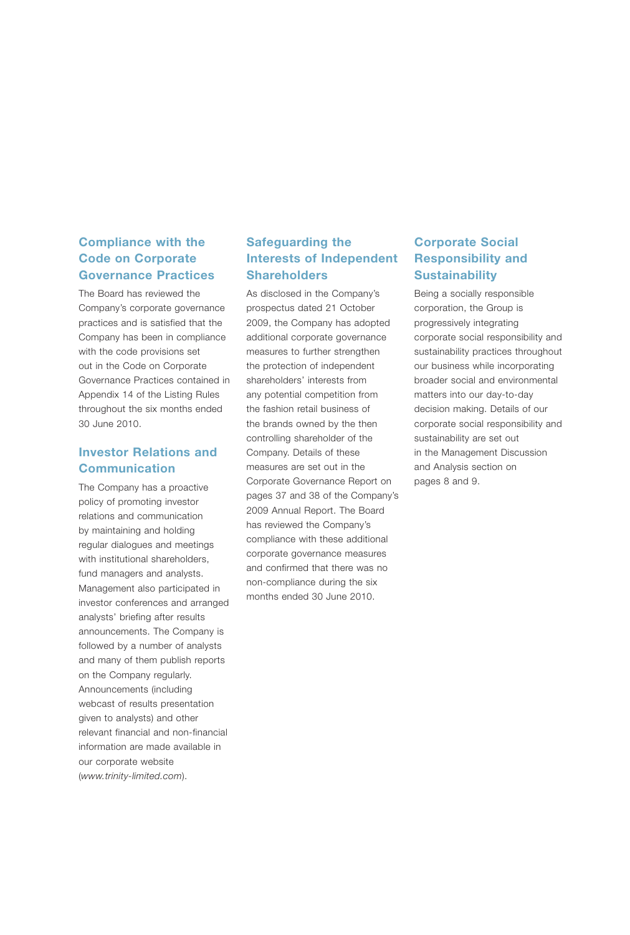# Compliance with the Code on Corporate Governance Practices

The Board has reviewed the Company's corporate governance practices and is satisfied that the Company has been in compliance with the code provisions set out in the Code on Corporate Governance Practices contained in Appendix 14 of the Listing Rules throughout the six months ended 30 June 2010.

# Investor Relations and Communication

The Company has a proactive policy of promoting investor relations and communication by maintaining and holding regular dialogues and meetings with institutional shareholders, fund managers and analysts. Management also participated in investor conferences and arranged analysts' briefing after results announcements. The Company is followed by a number of analysts and many of them publish reports on the Company regularly. Announcements (including webcast of results presentation given to analysts) and other relevant financial and non-financial information are made available in our corporate website (*www.trinity-limited.com*).

# Safeguarding the Interests of Independent **Shareholders**

As disclosed in the Company's prospectus dated 21 October 2009, the Company has adopted additional corporate governance measures to further strengthen the protection of independent shareholders' interests from any potential competition from the fashion retail business of the brands owned by the then controlling shareholder of the Company. Details of these measures are set out in the Corporate Governance Report on pages 37 and 38 of the Company's 2009 Annual Report. The Board has reviewed the Company's compliance with these additional corporate governance measures and confirmed that there was no non-compliance during the six months ended 30 June 2010.

# Corporate Social Responsibility and **Sustainability**

Being a socially responsible corporation, the Group is progressively integrating corporate social responsibility and sustainability practices throughout our business while incorporating broader social and environmental matters into our day-to-day decision making. Details of our corporate social responsibility and sustainability are set out in the Management Discussion and Analysis section on pages 8 and 9.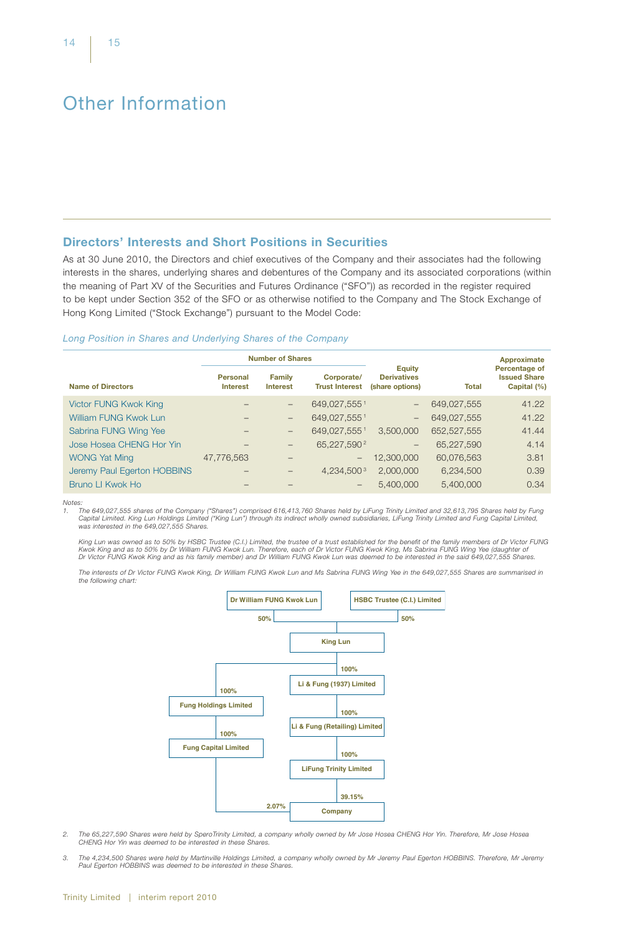# Other Information

## Directors' Interests and Short Positions in Securities

As at 30 June 2010, the Directors and chief executives of the Company and their associates had the following interests in the shares, underlying shares and debentures of the Company and its associated corporations (within the meaning of Part XV of the Securities and Futures Ordinance ("SFO")) as recorded in the register required to be kept under Section 352 of the SFO or as otherwise notified to the Company and The Stock Exchange of Hong Kong Limited ("Stock Exchange") pursuant to the Model Code:

#### *Long Position in Shares and Underlying Shares of the Company*

|                              | <b>Number of Shares</b>            |                                                                         |                          | Approximate                                            |              |                                                     |
|------------------------------|------------------------------------|-------------------------------------------------------------------------|--------------------------|--------------------------------------------------------|--------------|-----------------------------------------------------|
| <b>Name of Directors</b>     | <b>Personal</b><br><b>Interest</b> | Corporate/<br><b>Family</b><br><b>Trust Interest</b><br><b>Interest</b> |                          | <b>Equity</b><br><b>Derivatives</b><br>(share options) | <b>Total</b> | Percentage of<br><b>Issued Share</b><br>Capital (%) |
| <b>Victor FUNG Kwok King</b> |                                    | -                                                                       | 649,027,5551             | $-$                                                    | 649,027,555  | 41.22                                               |
| <b>William FUNG Kwok Lun</b> |                                    | —                                                                       | 649,027,5551             | $-$                                                    | 649,027,555  | 41.22                                               |
| Sabrina FUNG Wing Yee        |                                    | -                                                                       | 649,027,5551             | 3,500,000                                              | 652,527,555  | 41.44                                               |
| Jose Hosea CHENG Hor Yin     |                                    | -                                                                       | 65,227,590 $2$           | $\overline{\phantom{m}}$                               | 65,227,590   | 4.14                                                |
| <b>WONG Yat Ming</b>         | 47,776,563                         |                                                                         | $\overline{\phantom{m}}$ | 12,300,000                                             | 60,076,563   | 3.81                                                |
| Jeremy Paul Egerton HOBBINS  |                                    |                                                                         | 4,234,500 $3$            | 2,000,000                                              | 6,234,500    | 0.39                                                |
| Bruno LI Kwok Ho             |                                    |                                                                         | $\qquad \qquad$          | 5.400,000                                              | 5,400,000    | 0.34                                                |

*Notes:*

*1. The 649,027,555 shares of the Company ("Shares") comprised 616,413,760 Shares held by LiFung Trinity Limited and 32,613,795 Shares held by Fung*  Capital Limited. King Lun Holdings Limited ("King Lun") through its indirect wholly owned subsidiaries, LiFung Trinity Limited and Fung Capital Limited,<br>was interested in the 649,027,555 Shares.

King Lun was owned as to 50% by HSBC Trustee (C.I.) Limited, the trustee of a trust established for the benefit of the family members of Dr Victor FUNG<br>Kwok King and as to 50% by Dr William FUNG Kwok Lun. Therefore, each o

*The interests of Dr Victor FUNG Kwok King, Dr William FUNG Kwok Lun and Ms Sabrina FUNG Wing Yee in the 649,027,555 Shares are summarised in the following chart:*



- *2. The 65,227,590 Shares were held by SperoTrinity Limited, a company wholly owned by Mr Jose Hosea CHENG Hor Yin. Therefore, Mr Jose Hosea CHENG Hor Yin was deemed to be interested in these Shares.*
- *3. The 4,234,500 Shares were held by Martinville Holdings Limited, a company wholly owned by Mr Jeremy Paul Egerton HOBBINS. Therefore, Mr Jeremy Paul Egerton HOBBINS was deemed to be interested in these Shares.*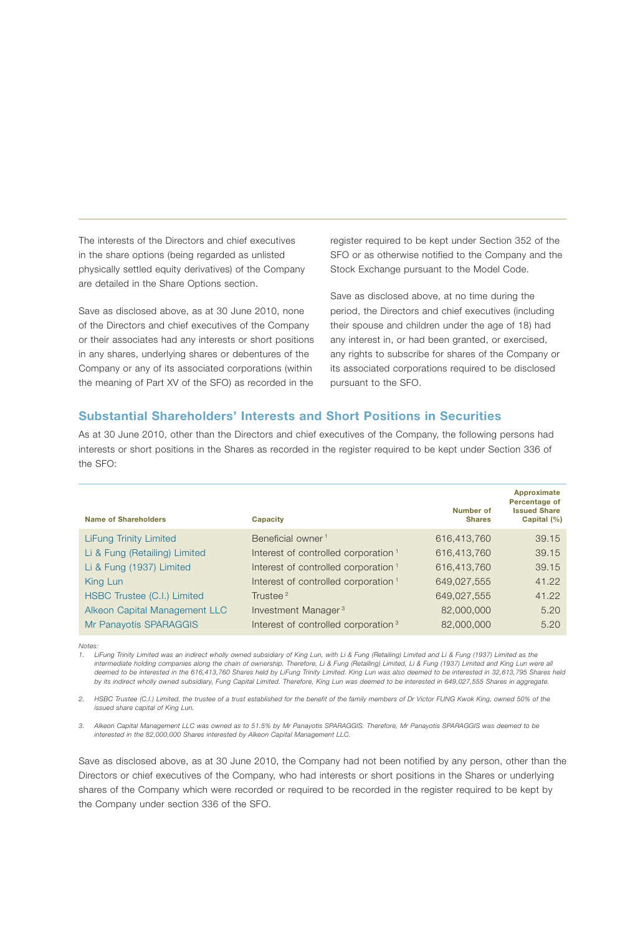The interests of the Directors and chief executives in the share options (being regarded as unlisted physically settled equity derivatives) of the Company are detailed in the Share Options section.

Save as disclosed above, as at 30 June 2010, none of the Directors and chief executives of the Company or their associates had any interests or short positions in any shares, underlying shares or debentures of the Company or any of its associated corporations (within the meaning of Part XV of the SFO) as recorded in the

register required to be kept under Section 352 of the SFO or as otherwise notified to the Company and the Stock Exchange pursuant to the Model Code.

Save as disclosed above, at no time during the period, the Directors and chief executives (including their spouse and children under the age of 18) had any interest in, or had been granted, or exercised, any rights to subscribe for shares of the Company or its associated corporations required to be disclosed pursuant to the SFO.

## Substantial Shareholders' Interests and Short Positions in Securities

As at 30 June 2010, other than the Directors and chief executives of the Company, the following persons had interests or short positions in the Shares as recorded in the register required to be kept under Section 336 of the SFO:

| <b>Name of Shareholders</b>   | Capacity                                        | Number of<br><b>Shares</b> | Approximate<br>Percentage of<br><b>Issued Share</b><br>Capital (%) |
|-------------------------------|-------------------------------------------------|----------------------------|--------------------------------------------------------------------|
| <b>LiFung Trinity Limited</b> | Beneficial owner <sup>1</sup>                   | 616,413,760                | 39.15                                                              |
| Li & Fung (Retailing) Limited | Interest of controlled corporation <sup>1</sup> | 616,413,760                | 39.15                                                              |
| Li & Fung (1937) Limited      | Interest of controlled corporation <sup>1</sup> | 616,413,760                | 39.15                                                              |
| King Lun                      | Interest of controlled corporation <sup>1</sup> | 649,027,555                | 41.22                                                              |
| HSBC Trustee (C.I.) Limited   | Trustee <sup>2</sup>                            | 649,027,555                | 41.22                                                              |
| Alkeon Capital Management LLC | Investment Manager <sup>3</sup>                 | 82,000,000                 | 5.20                                                               |
| Mr Panayotis SPARAGGIS        | Interest of controlled corporation <sup>3</sup> | 82,000,000                 | 5.20                                                               |

*Notes:*

*1. LiFung Trinity Limited was an indirect wholly owned subsidiary of King Lun, with Li & Fung (Retailing) Limited and Li & Fung (1937) Limited as the intermediate holding companies along the chain of ownership. Therefore, Li & Fung (Retailing) Limited, Li & Fung (1937) Limited and King Lun were all deemed to be interested in the 616,413,760 Shares held by LiFung Trinity Limited. King Lun was also deemed to be interested in 32,613,795 Shares held by its indirect wholly owned subsidiary, Fung Capital Limited. Therefore, King Lun was deemed to be interested in 649,027,555 Shares in aggregate.*

*2. HSBC Trustee (C.I.) Limited, the trustee of a trust established for the benefit of the family members of Dr Victor FUNG Kwok King, owned 50% of the issued share capital of King Lun.*

*3. Alkeon Capital Management LLC was owned as to 51.5% by Mr Panayotis SPARAGGIS. Therefore, Mr Panayotis SPARAGGIS was deemed to be interested in the 82,000,000 Shares interested by Alkeon Capital Management LLC.*

Save as disclosed above, as at 30 June 2010, the Company had not been notified by any person, other than the Directors or chief executives of the Company, who had interests or short positions in the Shares or underlying shares of the Company which were recorded or required to be recorded in the register required to be kept by the Company under section 336 of the SFO.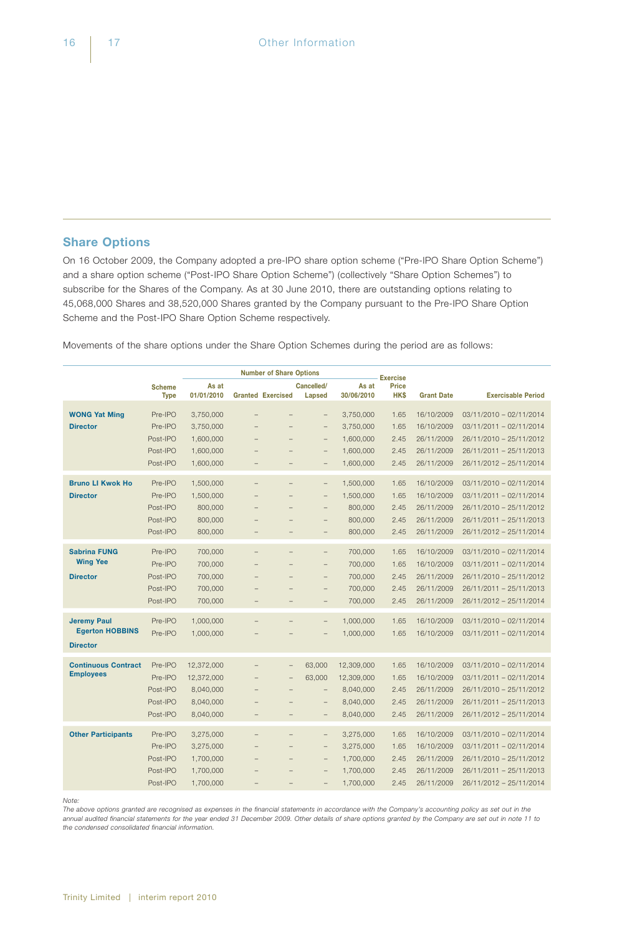# Share Options

On 16 October 2009, the Company adopted a pre-IPO share option scheme ("Pre-IPO Share Option Scheme") and a share option scheme ("Post-IPO Share Option Scheme") (collectively "Share Option Schemes") to subscribe for the Shares of the Company. As at 30 June 2010, there are outstanding options relating to 45,068,000 Shares and 38,520,000 Shares granted by the Company pursuant to the Pre-IPO Share Option Scheme and the Post-IPO Share Option Scheme respectively.

Movements of the share options under the Share Option Schemes during the period are as follows:

|                            |                      |                        |                          | <b>Number of Share Options</b>                       |                                                      |                        | <b>Exercise</b> |                          |                                                    |
|----------------------------|----------------------|------------------------|--------------------------|------------------------------------------------------|------------------------------------------------------|------------------------|-----------------|--------------------------|----------------------------------------------------|
|                            | <b>Scheme</b>        | As at                  |                          |                                                      | Cancelled/                                           | As at                  | <b>Price</b>    |                          |                                                    |
|                            | <b>Type</b>          | 01/01/2010             | <b>Granted Exercised</b> |                                                      | Lapsed                                               | 30/06/2010             | <b>HKS</b>      | <b>Grant Date</b>        | <b>Exercisable Period</b>                          |
| <b>WONG Yat Ming</b>       | Pre-IPO              | 3,750,000              |                          |                                                      | $\overline{\phantom{0}}$                             | 3,750,000              | 1.65            | 16/10/2009               | 03/11/2010 - 02/11/2014                            |
| <b>Director</b>            | Pre-IPO              | 3,750,000              |                          |                                                      | $\qquad \qquad -$                                    | 3,750,000              | 1.65            | 16/10/2009               | 03/11/2011 - 02/11/2014                            |
|                            | Post-IPO             | 1,600,000              |                          |                                                      | $\overline{\phantom{0}}$                             | 1,600,000              | 2.45            | 26/11/2009               | 26/11/2010 - 25/11/2012                            |
|                            | Post-IPO             | 1,600,000              |                          | $\overline{\phantom{0}}$                             | $\qquad \qquad -$                                    | 1,600,000              | 2.45            | 26/11/2009               | 26/11/2011 - 25/11/2013                            |
|                            | Post-IPO             | 1,600,000              | $\overline{\phantom{0}}$ | $\overline{\phantom{0}}$                             | $\qquad \qquad -$                                    | 1,600,000              | 2.45            | 26/11/2009               | 26/11/2012 - 25/11/2014                            |
| <b>Bruno LI Kwok Ho</b>    | Pre-IPO              | 1,500,000              | $\overline{\phantom{0}}$ | $\overline{\phantom{0}}$                             | $\overline{\phantom{a}}$                             | 1,500,000              | 1.65            | 16/10/2009               | 03/11/2010 - 02/11/2014                            |
| <b>Director</b>            | Pre-IPO              | 1,500,000              |                          | $\overline{\phantom{0}}$                             | $\overline{\phantom{0}}$                             | 1,500,000              | 1.65            | 16/10/2009               | 03/11/2011 - 02/11/2014                            |
|                            | Post-IPO             | 800,000                |                          |                                                      | $\overline{\phantom{0}}$                             | 800,000                | 2.45            | 26/11/2009               | 26/11/2010 - 25/11/2012                            |
|                            | Post-IPO             | 800,000                |                          | $\overline{\phantom{0}}$                             | $\overline{\phantom{0}}$                             | 800,000                | 2.45            | 26/11/2009               | 26/11/2011 - 25/11/2013                            |
|                            | Post-IPO             | 800,000                | $\overline{\phantom{0}}$ | $\overline{\phantom{0}}$                             | $\overline{\phantom{a}}$                             | 800,000                | 2.45            | 26/11/2009               | 26/11/2012 - 25/11/2014                            |
| <b>Sabrina FUNG</b>        | Pre-IPO              |                        |                          |                                                      |                                                      |                        |                 |                          |                                                    |
| <b>Wing Yee</b>            | Pre-IPO              | 700,000<br>700,000     |                          | $\overline{a}$<br>$\overline{\phantom{0}}$           | $\qquad \qquad -$                                    | 700,000<br>700,000     | 1.65<br>1.65    | 16/10/2009<br>16/10/2009 | 03/11/2010 - 02/11/2014<br>03/11/2011 - 02/11/2014 |
| <b>Director</b>            | Post-IPO             | 700,000                |                          | $\overline{a}$                                       | $\qquad \qquad -$<br>$\overline{\phantom{0}}$        | 700,000                | 2.45            | 26/11/2009               | 26/11/2010 - 25/11/2012                            |
|                            | Post-IPO             | 700,000                |                          | $\overline{\phantom{0}}$                             | $\overline{\phantom{a}}$                             | 700,000                | 2.45            | 26/11/2009               | 26/11/2011 - 25/11/2013                            |
|                            | Post-IPO             | 700,000                | $\overline{\phantom{0}}$ | $\overline{a}$                                       | $\overline{\phantom{0}}$                             | 700,000                | 2.45            | 26/11/2009               | 26/11/2012 - 25/11/2014                            |
|                            |                      |                        |                          |                                                      |                                                      |                        |                 |                          |                                                    |
| <b>Jeremy Paul</b>         | Pre-IPO              | 1,000,000              | $\overline{\phantom{a}}$ | $\overline{\phantom{0}}$                             | $\qquad \qquad -$                                    | 1,000,000              | 1.65            | 16/10/2009               | 03/11/2010 - 02/11/2014                            |
| <b>Egerton HOBBINS</b>     | Pre-IPO              | 1,000,000              |                          |                                                      | $\qquad \qquad -$                                    | 1,000,000              | 1.65            | 16/10/2009               | 03/11/2011 - 02/11/2014                            |
| <b>Director</b>            |                      |                        |                          |                                                      |                                                      |                        |                 |                          |                                                    |
| <b>Continuous Contract</b> | Pre-IPO              | 12,372,000             |                          | $\overline{\phantom{0}}$                             | 63.000                                               | 12,309,000             | 1.65            | 16/10/2009               | 03/11/2010 - 02/11/2014                            |
| <b>Employees</b>           | Pre-IPO              | 12,372,000             |                          | $\overline{a}$                                       | 63,000                                               | 12,309,000             | 1.65            | 16/10/2009               | 03/11/2011 - 02/11/2014                            |
|                            | Post-IPO             | 8,040,000              |                          | $\overline{a}$                                       | $\qquad \qquad -$                                    | 8,040,000              | 2.45            | 26/11/2009               | 26/11/2010 - 25/11/2012                            |
|                            | Post-IPO             | 8,040,000              |                          | $\overline{\phantom{0}}$                             | $\qquad \qquad -$                                    | 8,040,000              | 2.45            | 26/11/2009               | 26/11/2011 - 25/11/2013                            |
|                            | Post-IPO             | 8,040,000              | $\qquad \qquad -$        | $\overline{\phantom{0}}$                             | $\qquad \qquad -$                                    | 8,040,000              | 2.45            | 26/11/2009               | 26/11/2012 - 25/11/2014                            |
| <b>Other Participants</b>  | Pre-IPO              | 3,275,000              |                          | $\overline{\phantom{0}}$                             | $\overline{\phantom{0}}$                             | 3,275,000              | 1.65            | 16/10/2009               | 03/11/2010 - 02/11/2014                            |
|                            | Pre-IPO              | 3,275,000              |                          | $\overline{\phantom{0}}$                             | $\qquad \qquad -$                                    | 3,275,000              | 1.65            | 16/10/2009               | 03/11/2011 - 02/11/2014                            |
|                            |                      |                        |                          |                                                      |                                                      |                        |                 |                          |                                                    |
|                            |                      |                        |                          |                                                      |                                                      |                        |                 |                          |                                                    |
|                            | Post-IPO<br>Post-IPO | 1,700,000<br>1,700,000 |                          | $\overline{\phantom{0}}$<br>$\overline{\phantom{0}}$ | $\overline{\phantom{0}}$<br>$\overline{\phantom{0}}$ | 1,700,000<br>1,700,000 | 2.45<br>2.45    | 26/11/2009<br>26/11/2009 | 26/11/2010 - 25/11/2012<br>26/11/2011 - 25/11/2013 |

#### *Note:*

*The above options granted are recognised as expenses in the financial statements in accordance with the Company's accounting policy as set out in the annual audited financial statements for the year ended 31 December 2009. Other details of share options granted by the Company are set out in note 11 to the condensed consolidated financial information.*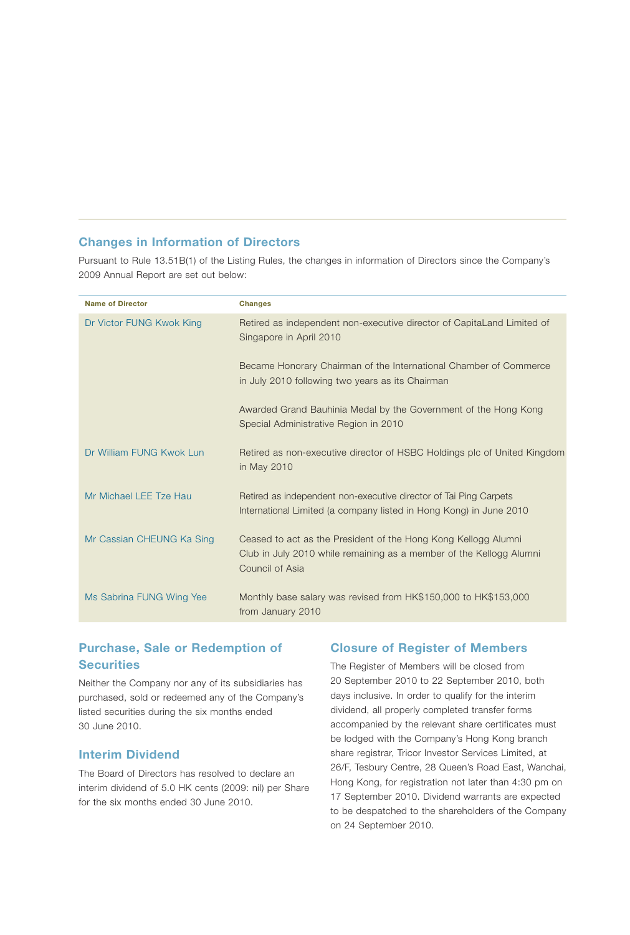# Changes in Information of Directors

Pursuant to Rule 13.51B(1) of the Listing Rules, the changes in information of Directors since the Company's 2009 Annual Report are set out below:

| <b>Name of Director</b>   | <b>Changes</b>                                                                                                                                           |
|---------------------------|----------------------------------------------------------------------------------------------------------------------------------------------------------|
| Dr Victor FUNG Kwok King  | Retired as independent non-executive director of CapitaLand Limited of<br>Singapore in April 2010                                                        |
|                           | Became Honorary Chairman of the International Chamber of Commerce<br>in July 2010 following two years as its Chairman                                    |
|                           | Awarded Grand Bauhinia Medal by the Government of the Hong Kong<br>Special Administrative Region in 2010                                                 |
| Dr William FUNG Kwok Lun  | Retired as non-executive director of HSBC Holdings plc of United Kingdom<br>in May 2010                                                                  |
| Mr Michael LEE Tze Hau    | Retired as independent non-executive director of Tai Ping Carpets<br>International Limited (a company listed in Hong Kong) in June 2010                  |
| Mr Cassian CHEUNG Ka Sing | Ceased to act as the President of the Hong Kong Kellogg Alumni<br>Club in July 2010 while remaining as a member of the Kellogg Alumni<br>Council of Asia |
| Ms Sabrina FUNG Wing Yee  | Monthly base salary was revised from HK\$150,000 to HK\$153,000<br>from January 2010                                                                     |

# Purchase, Sale or Redemption of **Securities**

Neither the Company nor any of its subsidiaries has purchased, sold or redeemed any of the Company's listed securities during the six months ended 30 June 2010.

#### Interim Dividend

The Board of Directors has resolved to declare an interim dividend of 5.0 HK cents (2009: nil) per Share for the six months ended 30 June 2010.

## Closure of Register of Members

The Register of Members will be closed from 20 September 2010 to 22 September 2010, both days inclusive. In order to qualify for the interim dividend, all properly completed transfer forms accompanied by the relevant share certificates must be lodged with the Company's Hong Kong branch share registrar, Tricor Investor Services Limited, at 26/F, Tesbury Centre, 28 Queen's Road East, Wanchai, Hong Kong, for registration not later than 4:30 pm on 17 September 2010. Dividend warrants are expected to be despatched to the shareholders of the Company on 24 September 2010.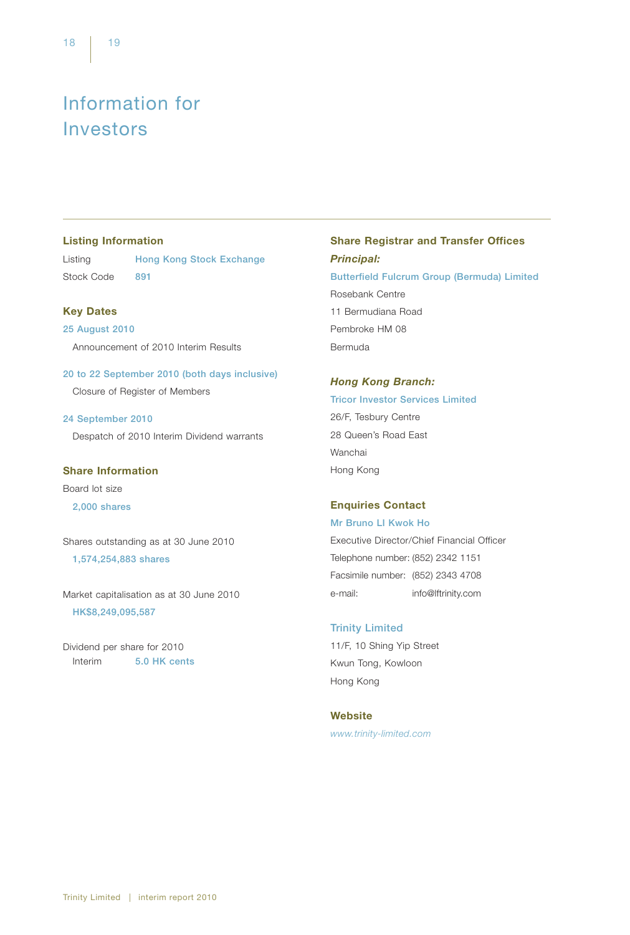# Information for Investors

# Listing Information

Listing **Hong Kong Stock Exchange** Stock Code 891

## Key Dates

25 August 2010 Announcement of 2010 Interim Results

20 to 22 September 2010 (both days inclusive) Closure of Register of Members

24 September 2010 Despatch of 2010 Interim Dividend warrants

Share Information

Board lot size 2,000 shares

Shares outstanding as at 30 June 2010 1,574,254,883 shares

Market capitalisation as at 30 June 2010 HK\$8,249,095,587

Dividend per share for 2010 Interim 5.0 HK cents

# Share Registrar and Transfer Offices *Principal:* Butterfield Fulcrum Group (Bermuda) Limited Rosebank Centre 11 Bermudiana Road Pembroke HM 08 Bermuda

#### *Hong Kong Branch:*

Tricor Investor Services Limited 26/F, Tesbury Centre 28 Queen's Road East Wanchai Hong Kong

## Enquiries Contact

Mr Bruno LI Kwok Ho Executive Director/Chief Financial Officer Telephone number: (852) 2342 1151 Facsimile number: (852) 2343 4708 e-mail: info@lftrinity.com

## Trinity Limited

11/F, 10 Shing Yip Street Kwun Tong, Kowloon Hong Kong

#### **Website**

*www.trinity-limited.com*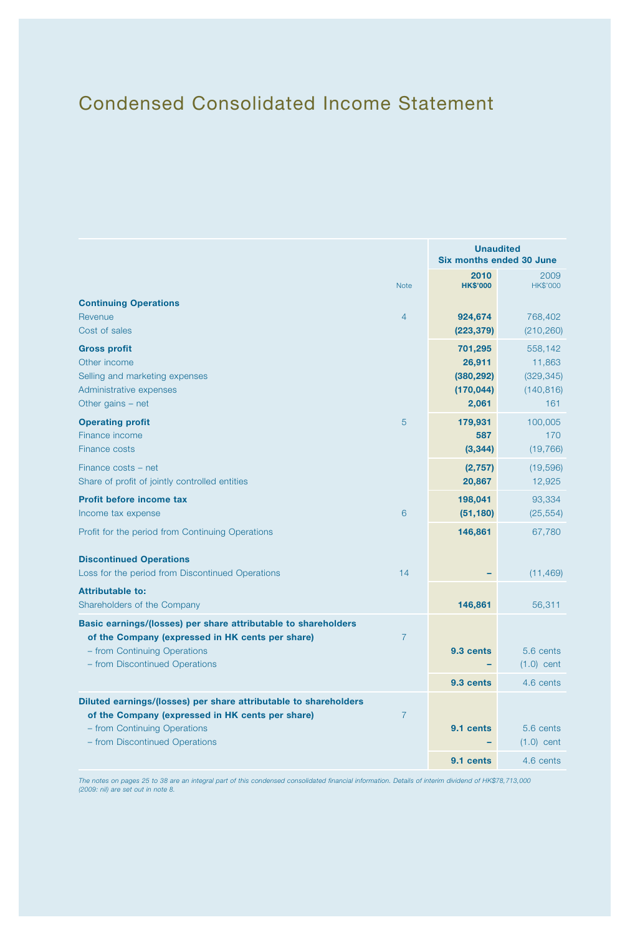# Condensed Consolidated Income Statement

| <b>Note</b><br><b>Continuing Operations</b><br>Revenue<br>4<br>Cost of sales<br><b>Gross profit</b><br>Other income<br>Selling and marketing expenses<br>Administrative expenses<br>Other gains - net    | <b>Unaudited</b><br>Six months ended 30 June           |                                                      |  |  |
|----------------------------------------------------------------------------------------------------------------------------------------------------------------------------------------------------------|--------------------------------------------------------|------------------------------------------------------|--|--|
|                                                                                                                                                                                                          | 2010<br><b>HK\$'000</b>                                | 2009<br><b>HK\$'000</b>                              |  |  |
|                                                                                                                                                                                                          | 924,674<br>(223, 379)                                  | 768,402<br>(210, 260)                                |  |  |
|                                                                                                                                                                                                          | 701,295<br>26,911<br>(380, 292)<br>(170, 044)<br>2,061 | 558,142<br>11,863<br>(329, 345)<br>(140, 816)<br>161 |  |  |
| 5<br><b>Operating profit</b><br>Finance income<br><b>Finance costs</b>                                                                                                                                   | 179,931<br>587<br>(3, 344)                             | 100,005<br>170<br>(19, 766)                          |  |  |
| Finance costs - net<br>Share of profit of jointly controlled entities                                                                                                                                    | (2,757)<br>20,867                                      | (19, 596)<br>12,925                                  |  |  |
| Profit before income tax<br>6<br>Income tax expense                                                                                                                                                      | 198,041<br>(51, 180)                                   | 93,334<br>(25, 554)                                  |  |  |
| Profit for the period from Continuing Operations                                                                                                                                                         | 146,861                                                | 67,780                                               |  |  |
| <b>Discontinued Operations</b><br>Loss for the period from Discontinued Operations<br>14                                                                                                                 |                                                        | (11, 469)                                            |  |  |
| <b>Attributable to:</b><br>Shareholders of the Company                                                                                                                                                   | 146,861                                                | 56,311                                               |  |  |
| Basic earnings/(losses) per share attributable to shareholders<br>of the Company (expressed in HK cents per share)<br>$\overline{7}$<br>- from Continuing Operations<br>- from Discontinued Operations   | 9.3 cents<br>9.3 cents                                 | 5.6 cents<br>$(1.0)$ cent<br>4.6 cents               |  |  |
| Diluted earnings/(losses) per share attributable to shareholders<br>of the Company (expressed in HK cents per share)<br>$\overline{7}$<br>- from Continuing Operations<br>- from Discontinued Operations | 9.1 cents<br>9.1 cents                                 | 5.6 cents<br>$(1.0)$ cent<br>4.6 cents               |  |  |

*The notes on pages 25 to 38 are an integral part of this condensed consolidated financial information. Details of interim dividend of HK\$78,713,000 (2009: nil) are set out in note 8.*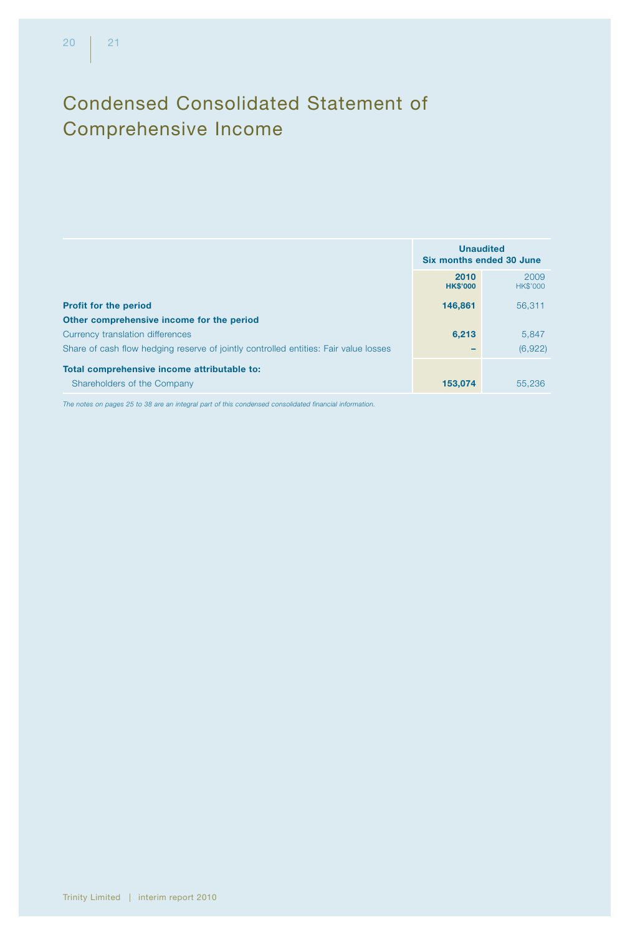# Condensed Consolidated Statement of Comprehensive Income

|                                                                                      | <b>Unaudited</b><br>Six months ended 30 June |                         |  |
|--------------------------------------------------------------------------------------|----------------------------------------------|-------------------------|--|
|                                                                                      | 2010<br><b>HK\$'000</b>                      | 2009<br><b>HK\$'000</b> |  |
| <b>Profit for the period</b>                                                         | 146,861                                      | 56.311                  |  |
| Other comprehensive income for the period                                            |                                              |                         |  |
| Currency translation differences                                                     | 6,213                                        | 5.847                   |  |
| Share of cash flow hedging reserve of jointly controlled entities: Fair value losses |                                              | (6,922)                 |  |
| Total comprehensive income attributable to:                                          |                                              |                         |  |
| Shareholders of the Company                                                          | 153,074                                      | 55,236                  |  |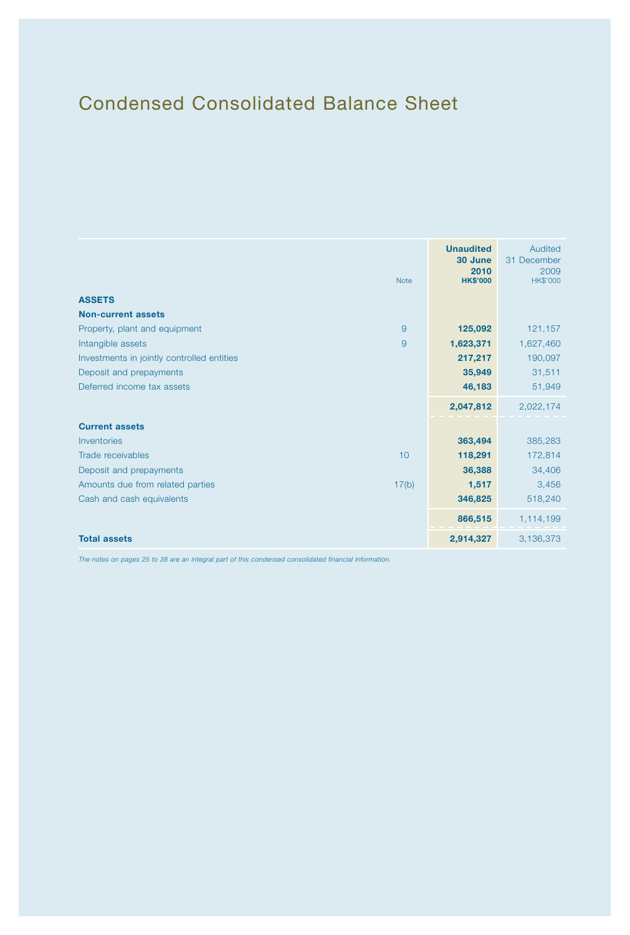# Condensed Consolidated Balance Sheet

|                                            | <b>Note</b>    | <b>Unaudited</b><br>30 June<br>2010<br><b>HK\$'000</b> | Audited<br>31 December<br>2009<br><b>HK\$'000</b> |
|--------------------------------------------|----------------|--------------------------------------------------------|---------------------------------------------------|
| <b>ASSETS</b>                              |                |                                                        |                                                   |
| <b>Non-current assets</b>                  |                |                                                        |                                                   |
| Property, plant and equipment              | $\overline{9}$ | 125,092                                                | 121,157                                           |
| Intangible assets                          | $\overline{9}$ | 1,623,371                                              | 1,627,460                                         |
| Investments in jointly controlled entities |                | 217,217                                                | 190,097                                           |
| Deposit and prepayments                    |                | 35,949                                                 | 31,511                                            |
| Deferred income tax assets                 |                | 46,183                                                 | 51,949                                            |
|                                            |                | 2,047,812                                              | 2,022,174                                         |
| <b>Current assets</b>                      |                |                                                        |                                                   |
| Inventories                                |                | 363,494                                                | 385,283                                           |
| Trade receivables                          | 10             | 118,291                                                | 172,814                                           |
| Deposit and prepayments                    |                | 36,388                                                 | 34,406                                            |
| Amounts due from related parties           | 17(b)          | 1,517                                                  | 3,456                                             |
| Cash and cash equivalents                  |                | 346,825                                                | 518,240                                           |
|                                            |                | 866,515                                                | 1,114,199                                         |
| <b>Total assets</b>                        |                | 2,914,327                                              | 3,136,373                                         |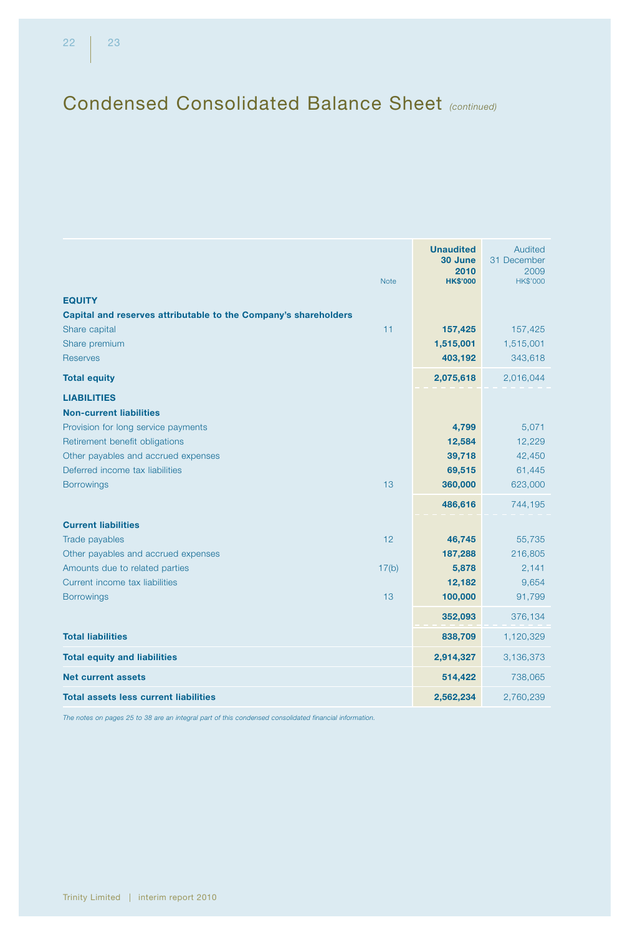# Condensed Consolidated Balance Sheet *(continued)*

|                                                                 |             | <b>Unaudited</b><br>30 June | Audited<br>31 December |
|-----------------------------------------------------------------|-------------|-----------------------------|------------------------|
|                                                                 |             | 2010                        | 2009                   |
|                                                                 | <b>Note</b> | <b>HK\$'000</b>             | HK\$'000               |
| <b>EQUITY</b>                                                   |             |                             |                        |
| Capital and reserves attributable to the Company's shareholders |             |                             |                        |
| Share capital                                                   | 11          | 157,425                     | 157,425                |
| Share premium                                                   |             | 1,515,001                   | 1,515,001              |
| <b>Reserves</b>                                                 |             | 403,192                     | 343,618                |
| <b>Total equity</b>                                             |             | 2,075,618                   | 2,016,044              |
| <b>LIABILITIES</b>                                              |             |                             |                        |
| <b>Non-current liabilities</b>                                  |             |                             |                        |
| Provision for long service payments                             |             | 4,799                       | 5,071                  |
| Retirement benefit obligations                                  |             | 12,584                      | 12,229                 |
| Other payables and accrued expenses                             |             | 39,718                      | 42,450                 |
| Deferred income tax liabilities                                 |             | 69,515                      | 61,445                 |
| <b>Borrowings</b>                                               | 13          | 360,000                     | 623,000                |
|                                                                 |             | 486,616                     | 744,195                |
| <b>Current liabilities</b>                                      |             |                             |                        |
| Trade payables                                                  | 12          | 46,745                      | 55,735                 |
| Other payables and accrued expenses                             |             | 187,288                     | 216,805                |
| Amounts due to related parties                                  | 17(b)       | 5,878                       | 2,141                  |
| Current income tax liabilities                                  |             | 12,182                      | 9,654                  |
| <b>Borrowings</b>                                               | 13          | 100,000                     | 91,799                 |
|                                                                 |             | 352,093                     | 376,134                |
| <b>Total liabilities</b>                                        |             | 838,709                     | 1,120,329              |
| <b>Total equity and liabilities</b>                             |             | 2,914,327                   | 3,136,373              |
| <b>Net current assets</b>                                       |             | 514,422                     | 738,065                |
| <b>Total assets less current liabilities</b>                    |             | 2,562,234                   | 2,760,239              |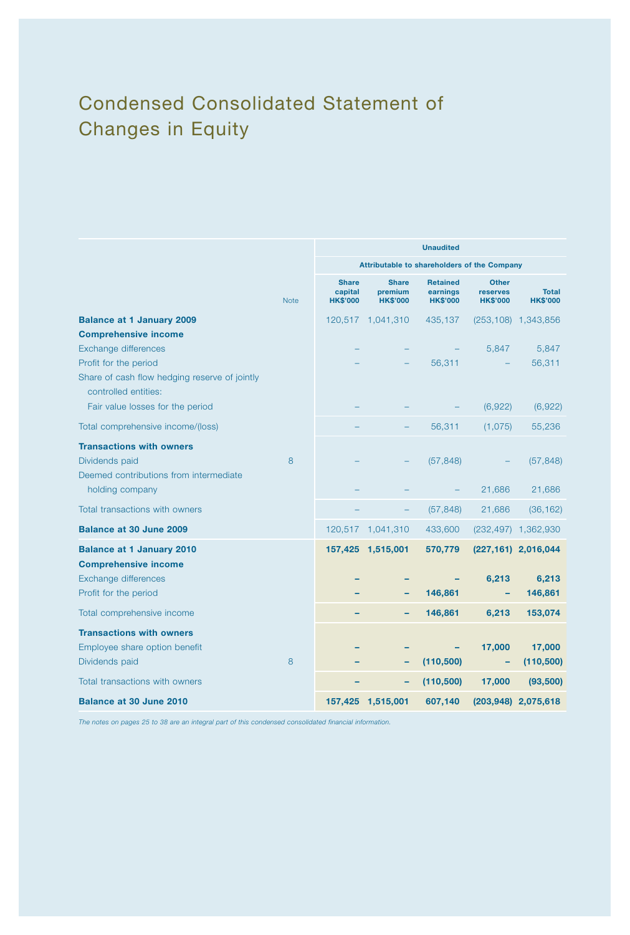# Condensed Consolidated Statement of Changes in Equity

|                                                                       |                                            |                                             | <b>Unaudited</b>                               |                                             |                                 |  |  |
|-----------------------------------------------------------------------|--------------------------------------------|---------------------------------------------|------------------------------------------------|---------------------------------------------|---------------------------------|--|--|
|                                                                       |                                            | Attributable to shareholders of the Company |                                                |                                             |                                 |  |  |
| <b>Note</b>                                                           | <b>Share</b><br>capital<br><b>HK\$'000</b> | <b>Share</b><br>premium<br><b>HK\$'000</b>  | <b>Retained</b><br>earnings<br><b>HK\$'000</b> | <b>Other</b><br>reserves<br><b>HK\$'000</b> | <b>Total</b><br><b>HK\$'000</b> |  |  |
| <b>Balance at 1 January 2009</b>                                      |                                            | 120,517 1,041,310                           | 435,137                                        |                                             | $(253, 108)$ 1,343,856          |  |  |
| <b>Comprehensive income</b>                                           |                                            |                                             |                                                |                                             |                                 |  |  |
| Exchange differences                                                  |                                            |                                             |                                                | 5,847                                       | 5,847                           |  |  |
| Profit for the period                                                 |                                            |                                             | 56,311                                         |                                             | 56,311                          |  |  |
| Share of cash flow hedging reserve of jointly<br>controlled entities: |                                            |                                             |                                                |                                             |                                 |  |  |
| Fair value losses for the period                                      |                                            |                                             |                                                | (6,922)                                     | (6,922)                         |  |  |
| Total comprehensive income/(loss)                                     |                                            |                                             | 56,311                                         | (1,075)                                     | 55,236                          |  |  |
| <b>Transactions with owners</b>                                       |                                            |                                             |                                                |                                             |                                 |  |  |
| Dividends paid<br>8                                                   |                                            |                                             | (57, 848)                                      |                                             | (57, 848)                       |  |  |
| Deemed contributions from intermediate                                |                                            |                                             |                                                |                                             |                                 |  |  |
| holding company                                                       |                                            |                                             |                                                | 21,686                                      | 21,686                          |  |  |
| Total transactions with owners                                        |                                            | -                                           | (57, 848)                                      | 21,686                                      | (36, 162)                       |  |  |
| Balance at 30 June 2009                                               |                                            | 120,517 1,041,310                           | 433,600                                        |                                             | (232,497) 1,362,930             |  |  |
| <b>Balance at 1 January 2010</b><br><b>Comprehensive income</b>       |                                            | 157,425 1,515,001                           | 570,779                                        |                                             | (227,161) 2,016,044             |  |  |
| Exchange differences                                                  |                                            |                                             |                                                | 6,213                                       | 6,213                           |  |  |
| Profit for the period                                                 |                                            |                                             | 146,861                                        |                                             | 146,861                         |  |  |
| Total comprehensive income                                            |                                            |                                             | 146,861                                        | 6,213                                       | 153,074                         |  |  |
| <b>Transactions with owners</b>                                       |                                            |                                             |                                                |                                             |                                 |  |  |
| Employee share option benefit                                         |                                            |                                             |                                                | 17,000                                      | 17,000                          |  |  |
| Dividends paid<br>8                                                   |                                            |                                             | (110, 500)                                     | ۰                                           | (110,500)                       |  |  |
| Total transactions with owners                                        |                                            |                                             | (110, 500)                                     | 17,000                                      | (93, 500)                       |  |  |
| <b>Balance at 30 June 2010</b>                                        |                                            | 157,425 1,515,001                           | 607,140                                        |                                             | (203,948) 2,075,618             |  |  |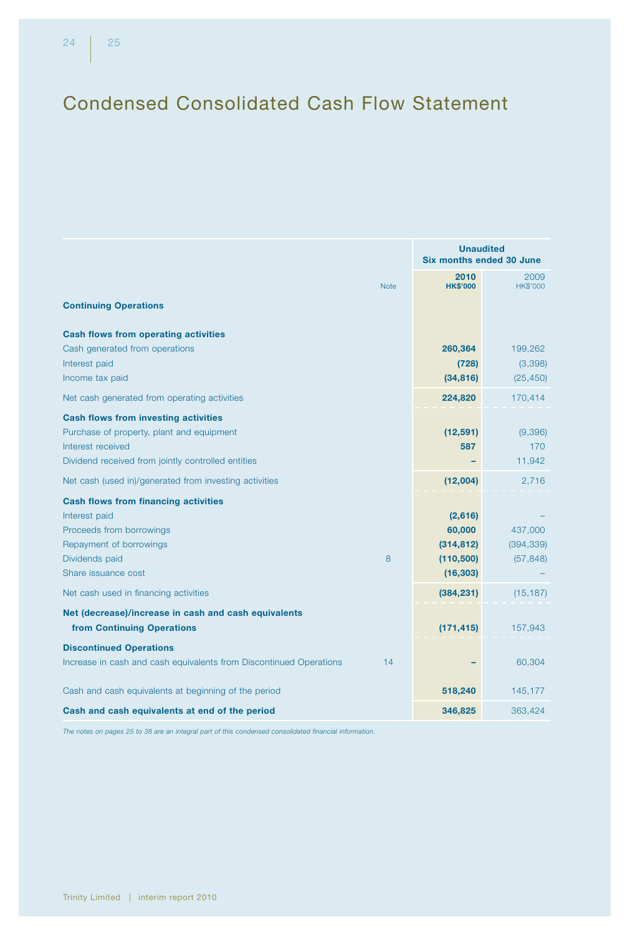# Condensed Consolidated Cash Flow Statement

| 2010<br>2009<br><b>HK\$'000</b><br><b>HK\$'000</b><br><b>Note</b><br><b>Continuing Operations</b> |     |
|---------------------------------------------------------------------------------------------------|-----|
|                                                                                                   |     |
|                                                                                                   |     |
| <b>Cash flows from operating activities</b>                                                       |     |
| Cash generated from operations<br>260,364<br>199,262                                              |     |
| Interest paid<br>(3,398)<br>(728)                                                                 |     |
| Income tax paid<br>(34, 816)<br>(25, 450)                                                         |     |
| Net cash generated from operating activities<br>224,820<br>170,414                                |     |
| <b>Cash flows from investing activities</b>                                                       |     |
| Purchase of property, plant and equipment<br>(12, 591)<br>(9,396)                                 |     |
| Interest received<br>587                                                                          | 170 |
| Dividend received from jointly controlled entities<br>11,942                                      |     |
| Net cash (used in)/generated from investing activities<br>(12,004)<br>2,716                       |     |
| <b>Cash flows from financing activities</b>                                                       |     |
| Interest paid<br>(2,616)                                                                          |     |
| Proceeds from borrowings<br>60,000<br>437,000                                                     |     |
| Repayment of borrowings<br>(314, 812)<br>(394, 339)                                               |     |
| Dividends paid<br>8<br>(57, 848)<br>(110, 500)                                                    |     |
| Share issuance cost<br>(16, 303)                                                                  |     |
| Net cash used in financing activities<br>(384, 231)<br>(15, 187)                                  |     |
| Net (decrease)/increase in cash and cash equivalents                                              |     |
| from Continuing Operations<br>(171, 415)<br>157,943                                               |     |
| <b>Discontinued Operations</b>                                                                    |     |
| Increase in cash and cash equivalents from Discontinued Operations<br>14<br>60,304                |     |
| Cash and cash equivalents at beginning of the period<br>518,240<br>145,177                        |     |
| Cash and cash equivalents at end of the period<br>346,825<br>363,424                              |     |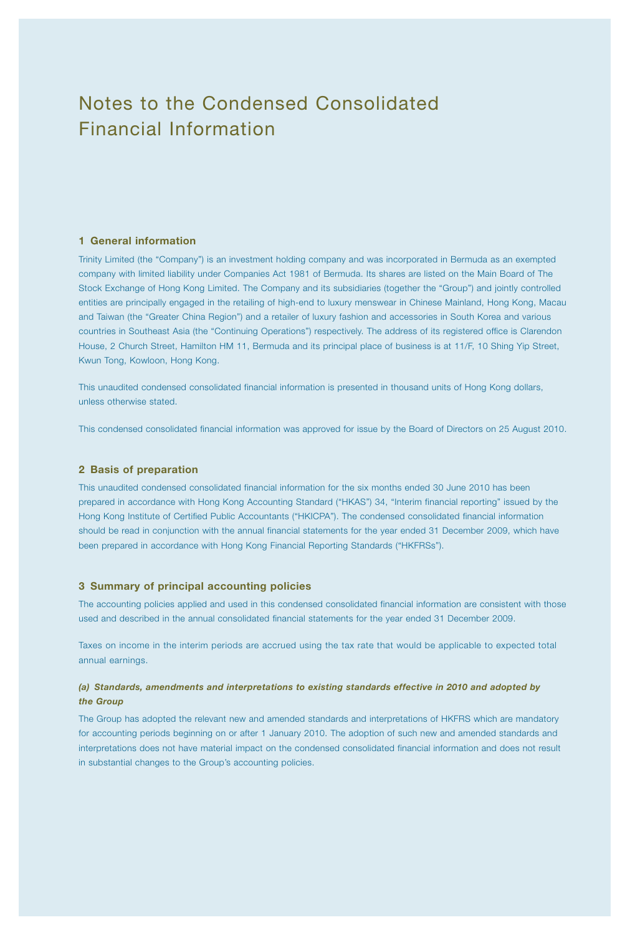# Notes to the Condensed Consolidated Financial Information

#### 1 General information

Trinity Limited (the "Company") is an investment holding company and was incorporated in Bermuda as an exempted company with limited liability under Companies Act 1981 of Bermuda. Its shares are listed on the Main Board of The Stock Exchange of Hong Kong Limited. The Company and its subsidiaries (together the "Group") and jointly controlled entities are principally engaged in the retailing of high-end to luxury menswear in Chinese Mainland, Hong Kong, Macau and Taiwan (the "Greater China Region") and a retailer of luxury fashion and accessories in South Korea and various countries in Southeast Asia (the "Continuing Operations") respectively. The address of its registered office is Clarendon House, 2 Church Street, Hamilton HM 11, Bermuda and its principal place of business is at 11/F, 10 Shing Yip Street, Kwun Tong, Kowloon, Hong Kong.

This unaudited condensed consolidated financial information is presented in thousand units of Hong Kong dollars, unless otherwise stated.

This condensed consolidated financial information was approved for issue by the Board of Directors on 25 August 2010.

#### 2 Basis of preparation

This unaudited condensed consolidated financial information for the six months ended 30 June 2010 has been prepared in accordance with Hong Kong Accounting Standard ("HKAS") 34, "Interim financial reporting" issued by the Hong Kong Institute of Certified Public Accountants ("HKICPA"). The condensed consolidated financial information should be read in conjunction with the annual financial statements for the year ended 31 December 2009, which have been prepared in accordance with Hong Kong Financial Reporting Standards ("HKFRSs").

#### 3 Summary of principal accounting policies

The accounting policies applied and used in this condensed consolidated financial information are consistent with those used and described in the annual consolidated financial statements for the year ended 31 December 2009.

Taxes on income in the interim periods are accrued using the tax rate that would be applicable to expected total annual earnings.

#### *(a) Standards, amendments and interpretations to existing standards effective in 2010 and adopted by the Group*

The Group has adopted the relevant new and amended standards and interpretations of HKFRS which are mandatory for accounting periods beginning on or after 1 January 2010. The adoption of such new and amended standards and interpretations does not have material impact on the condensed consolidated financial information and does not result in substantial changes to the Group's accounting policies.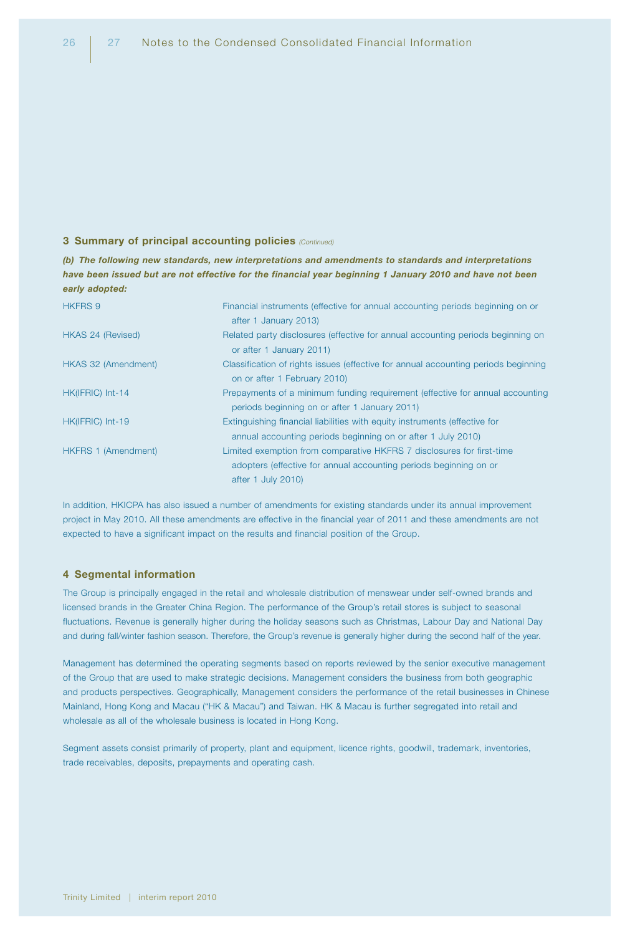#### 3 Summary of principal accounting policies *(Continued)*

*(b) The following new standards, new interpretations and amendments to standards and interpretations have been issued but are not effective for the financial year beginning 1 January 2010 and have not been early adopted:*

| <b>HKFRS 9</b>             | Financial instruments (effective for annual accounting periods beginning on or<br>after 1 January 2013)                                                          |
|----------------------------|------------------------------------------------------------------------------------------------------------------------------------------------------------------|
| HKAS 24 (Revised)          | Related party disclosures (effective for annual accounting periods beginning on<br>or after 1 January 2011)                                                      |
| HKAS 32 (Amendment)        | Classification of rights issues (effective for annual accounting periods beginning<br>on or after 1 February 2010)                                               |
| HK(IFRIC) Int-14           | Prepayments of a minimum funding requirement (effective for annual accounting<br>periods beginning on or after 1 January 2011)                                   |
| HK(IFRIC) Int-19           | Extinguishing financial liabilities with equity instruments (effective for<br>annual accounting periods beginning on or after 1 July 2010)                       |
| <b>HKFRS 1 (Amendment)</b> | Limited exemption from comparative HKFRS 7 disclosures for first-time<br>adopters (effective for annual accounting periods beginning on or<br>after 1 July 2010) |

In addition, HKICPA has also issued a number of amendments for existing standards under its annual improvement project in May 2010. All these amendments are effective in the financial year of 2011 and these amendments are not expected to have a significant impact on the results and financial position of the Group.

#### 4 Segmental information

The Group is principally engaged in the retail and wholesale distribution of menswear under self-owned brands and licensed brands in the Greater China Region. The performance of the Group's retail stores is subject to seasonal fluctuations. Revenue is generally higher during the holiday seasons such as Christmas, Labour Day and National Day and during fall/winter fashion season. Therefore, the Group's revenue is generally higher during the second half of the year.

Management has determined the operating segments based on reports reviewed by the senior executive management of the Group that are used to make strategic decisions. Management considers the business from both geographic and products perspectives. Geographically, Management considers the performance of the retail businesses in Chinese Mainland, Hong Kong and Macau ("HK & Macau") and Taiwan. HK & Macau is further segregated into retail and wholesale as all of the wholesale business is located in Hong Kong.

Segment assets consist primarily of property, plant and equipment, licence rights, goodwill, trademark, inventories, trade receivables, deposits, prepayments and operating cash.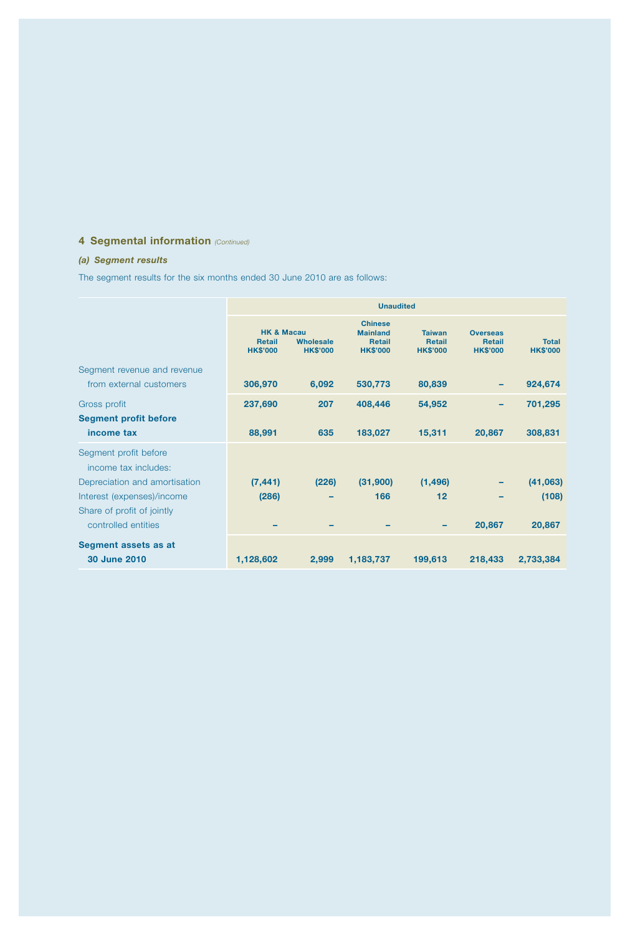# 4 Segmental information *(Continued)*

## *(a) Segment results*

The segment results for the six months ended 30 June 2010 are as follows:

|                                                        | <b>Unaudited</b>                                          |                              |                                                                       |                                                   |                                                     |                                 |
|--------------------------------------------------------|-----------------------------------------------------------|------------------------------|-----------------------------------------------------------------------|---------------------------------------------------|-----------------------------------------------------|---------------------------------|
|                                                        | <b>HK &amp; Macau</b><br><b>Retail</b><br><b>HK\$'000</b> | Wholesale<br><b>HK\$'000</b> | <b>Chinese</b><br><b>Mainland</b><br><b>Retail</b><br><b>HK\$'000</b> | <b>Taiwan</b><br><b>Retail</b><br><b>HK\$'000</b> | <b>Overseas</b><br><b>Retail</b><br><b>HK\$'000</b> | <b>Total</b><br><b>HK\$'000</b> |
| Segment revenue and revenue<br>from external customers | 306,970                                                   | 6,092                        | 530,773                                                               | 80,839                                            |                                                     | 924,674                         |
|                                                        |                                                           |                              |                                                                       |                                                   |                                                     |                                 |
| Gross profit                                           | 237,690                                                   | 207                          | 408,446                                                               | 54,952                                            |                                                     | 701,295                         |
| <b>Segment profit before</b><br>income tax             | 88,991                                                    | 635                          | 183,027                                                               | 15,311                                            | 20,867                                              | 308,831                         |
| Segment profit before<br>income tax includes:          |                                                           |                              |                                                                       |                                                   |                                                     |                                 |
| Depreciation and amortisation                          | (7, 441)                                                  | (226)                        | (31,900)                                                              | (1, 496)                                          |                                                     | (41,063)                        |
| Interest (expenses)/income                             | (286)                                                     |                              | 166                                                                   | $12 \overline{ }$                                 |                                                     | (108)                           |
| Share of profit of jointly<br>controlled entities      |                                                           |                              |                                                                       |                                                   | 20,867                                              | 20,867                          |
| Segment assets as at<br><b>30 June 2010</b>            | 1,128,602                                                 | 2,999                        | 1,183,737                                                             | 199,613                                           | 218,433                                             | 2,733,384                       |
|                                                        |                                                           |                              |                                                                       |                                                   |                                                     |                                 |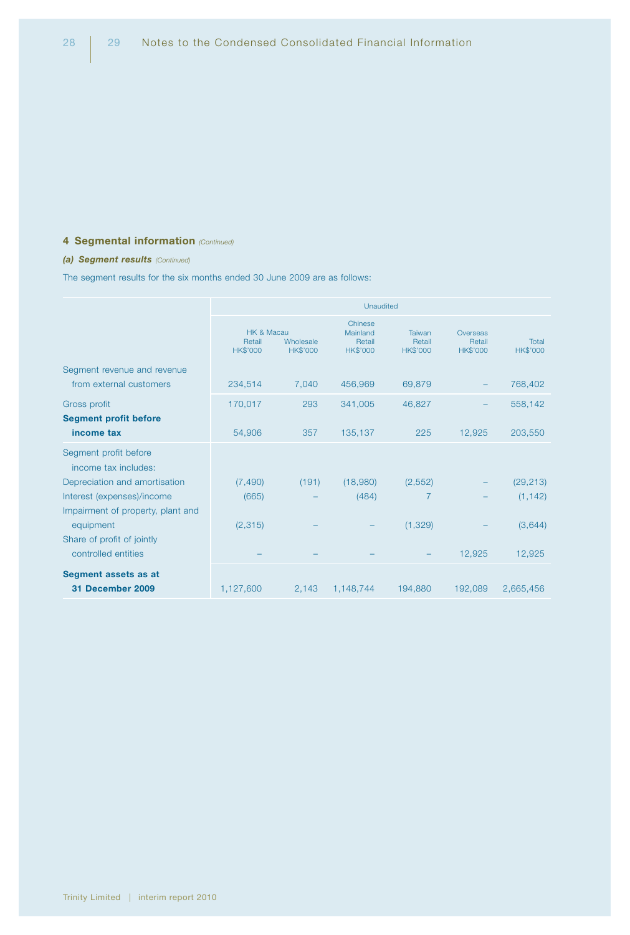## 4 Segmental information *(Continued)*

#### *(a) Segment results (Continued)*

The segment results for the six months ended 30 June 2009 are as follows:

|                                                   | Unaudited                               |                              |                                                  |                                     |                                       |                          |
|---------------------------------------------------|-----------------------------------------|------------------------------|--------------------------------------------------|-------------------------------------|---------------------------------------|--------------------------|
|                                                   | HK & Macau<br>Retail<br><b>HK\$'000</b> | Wholesale<br><b>HK\$'000</b> | Chinese<br>Mainland<br>Retail<br><b>HK\$'000</b> | Taiwan<br>Retail<br><b>HK\$'000</b> | Overseas<br>Retail<br><b>HK\$'000</b> | Total<br><b>HK\$'000</b> |
| Segment revenue and revenue                       |                                         |                              |                                                  |                                     |                                       |                          |
| from external customers                           | 234,514                                 | 7,040                        | 456,969                                          | 69,879                              |                                       | 768,402                  |
| Gross profit                                      | 170,017                                 | 293                          | 341,005                                          | 46,827                              |                                       | 558,142                  |
| <b>Segment profit before</b>                      |                                         |                              |                                                  |                                     |                                       |                          |
| income tax                                        | 54,906                                  | 357                          | 135,137                                          | 225                                 | 12,925                                | 203,550                  |
| Segment profit before<br>income tax includes:     |                                         |                              |                                                  |                                     |                                       |                          |
| Depreciation and amortisation                     | (7, 490)                                | (191)                        | (18,980)                                         | (2, 552)                            |                                       | (29, 213)                |
| Interest (expenses)/income                        | (665)                                   |                              | (484)                                            | 7                                   |                                       | (1, 142)                 |
| Impairment of property, plant and<br>equipment    | (2,315)                                 |                              |                                                  | (1, 329)                            |                                       | (3,644)                  |
| Share of profit of jointly<br>controlled entities |                                         |                              |                                                  |                                     | 12,925                                | 12,925                   |
| Segment assets as at<br>31 December 2009          | 1,127,600                               | 2,143                        | 1,148,744                                        | 194,880                             | 192,089                               | 2,665,456                |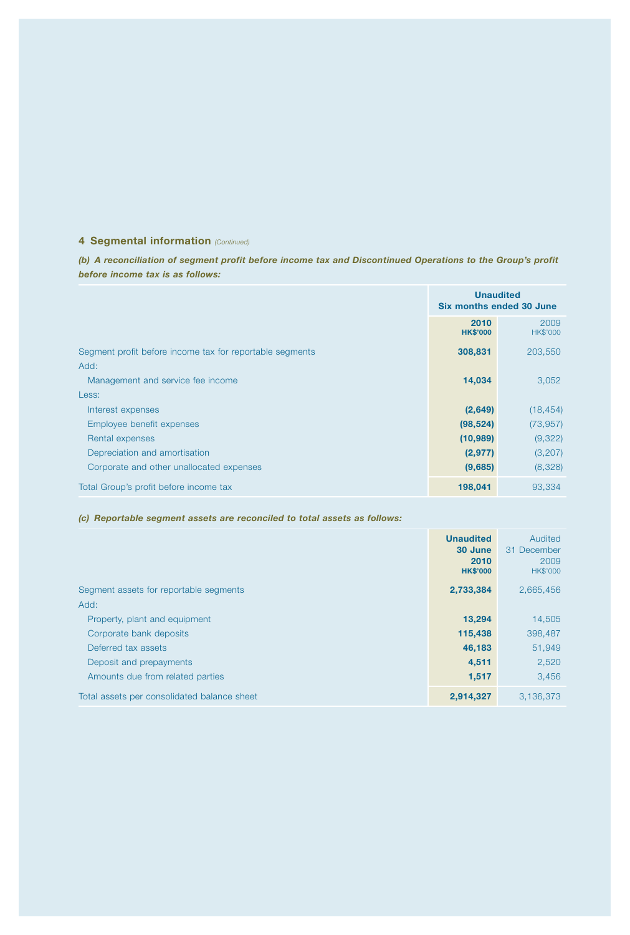## 4 Segmental information *(Continued)*

*(b) A reconciliation of segment profit before income tax and Discontinued Operations to the Group's profit before income tax is as follows:*

|                                                          | <b>Unaudited</b><br><b>Six months ended 30 June</b> |                         |
|----------------------------------------------------------|-----------------------------------------------------|-------------------------|
|                                                          | 2010<br><b>HK\$'000</b>                             | 2009<br><b>HK\$'000</b> |
| Segment profit before income tax for reportable segments | 308,831                                             | 203,550                 |
| Add:                                                     |                                                     |                         |
| Management and service fee income                        | 14,034                                              | 3,052                   |
| Less:                                                    |                                                     |                         |
| Interest expenses                                        | (2,649)                                             | (18, 454)               |
| Employee benefit expenses                                | (98, 524)                                           | (73, 957)               |
| Rental expenses                                          | (10, 989)                                           | (9,322)                 |
| Depreciation and amortisation                            | (2, 977)                                            | (3,207)                 |
| Corporate and other unallocated expenses                 | (9,685)                                             | (8,328)                 |
| Total Group's profit before income tax                   | 198,041                                             | 93,334                  |

#### *(c) Reportable segment assets are reconciled to total assets as follows:*

|                                             | <b>Unaudited</b><br>30 June<br>2010<br><b>HK\$'000</b> | Audited<br>31 December<br>2009<br><b>HK\$'000</b> |
|---------------------------------------------|--------------------------------------------------------|---------------------------------------------------|
| Segment assets for reportable segments      | 2,733,384                                              | 2,665,456                                         |
| Add:                                        |                                                        |                                                   |
| Property, plant and equipment               | 13,294                                                 | 14,505                                            |
| Corporate bank deposits                     | 115,438                                                | 398,487                                           |
| Deferred tax assets                         | 46,183                                                 | 51,949                                            |
| Deposit and prepayments                     | 4,511                                                  | 2,520                                             |
| Amounts due from related parties            | 1,517                                                  | 3,456                                             |
| Total assets per consolidated balance sheet | 2,914,327                                              | 3.136.373                                         |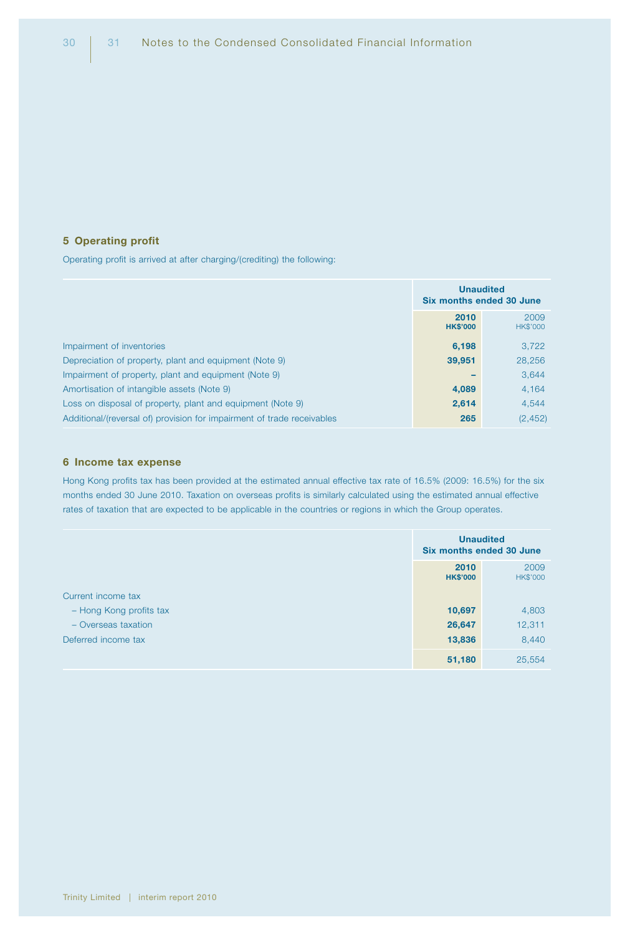#### 5 Operating profit

Operating profit is arrived at after charging/(crediting) the following:

|                                                                        | <b>Unaudited</b><br><b>Six months ended 30 June</b> |                  |
|------------------------------------------------------------------------|-----------------------------------------------------|------------------|
|                                                                        | 2010<br><b>HK\$'000</b>                             | 2009<br>HK\$'000 |
| Impairment of inventories                                              | 6,198                                               | 3.722            |
| Depreciation of property, plant and equipment (Note 9)                 | 39,951                                              | 28,256           |
| Impairment of property, plant and equipment (Note 9)                   |                                                     | 3.644            |
| Amortisation of intangible assets (Note 9)                             | 4,089                                               | 4.164            |
| Loss on disposal of property, plant and equipment (Note 9)             | 2,614                                               | 4.544            |
| Additional/(reversal of) provision for impairment of trade receivables | 265                                                 | (2, 452)         |

#### 6 Income tax expense

Hong Kong profits tax has been provided at the estimated annual effective tax rate of 16.5% (2009: 16.5%) for the six months ended 30 June 2010. Taxation on overseas profits is similarly calculated using the estimated annual effective rates of taxation that are expected to be applicable in the countries or regions in which the Group operates.

|                         | <b>Unaudited</b><br><b>Six months ended 30 June</b> |                  |
|-------------------------|-----------------------------------------------------|------------------|
|                         | 2010<br><b>HK\$'000</b>                             | 2009<br>HK\$'000 |
| Current income tax      |                                                     |                  |
| - Hong Kong profits tax | 10,697                                              | 4,803            |
| $-$ Overseas taxation   | 26,647                                              | 12,311           |
| Deferred income tax     | 13,836                                              | 8,440            |
|                         | 51,180                                              | 25,554           |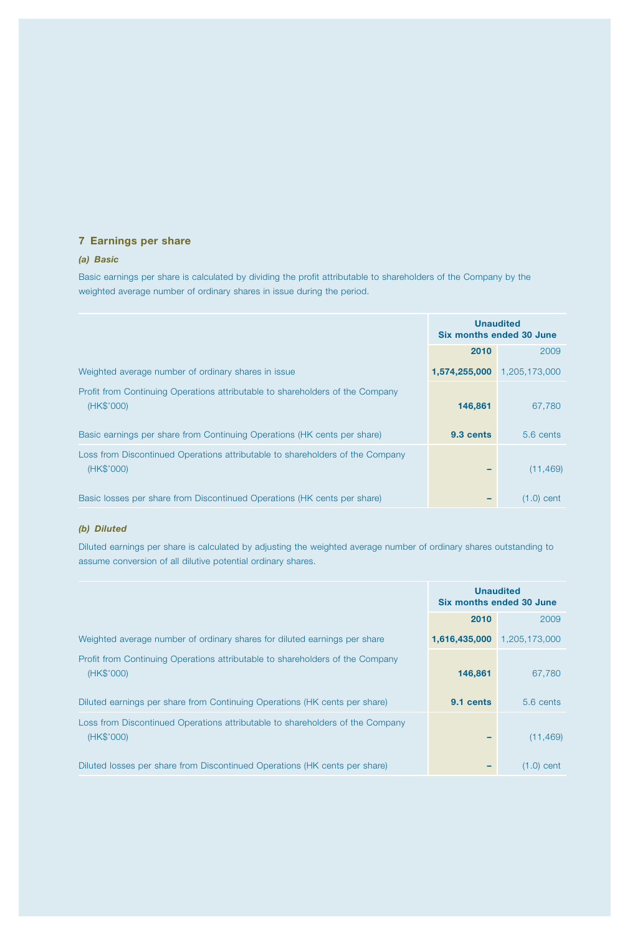## 7 Earnings per share

#### *(a) Basic*

Basic earnings per share is calculated by dividing the profit attributable to shareholders of the Company by the weighted average number of ordinary shares in issue during the period.

|                                                                                             | <b>Unaudited</b><br>Six months ended 30 June |                     |
|---------------------------------------------------------------------------------------------|----------------------------------------------|---------------------|
|                                                                                             | 2010                                         | 2009                |
| Weighted average number of ordinary shares in issue                                         | 1,574,255,000                                | 1,205,173,000       |
| Profit from Continuing Operations attributable to shareholders of the Company<br>(HK\$'000) | 146,861                                      | 67,780              |
| Basic earnings per share from Continuing Operations (HK cents per share)                    | 9.3 cents                                    | $5.6 \text{ cents}$ |
| Loss from Discontinued Operations attributable to shareholders of the Company<br>(HK\$'000) |                                              | (11, 469)           |
| Basic losses per share from Discontinued Operations (HK cents per share)                    |                                              | $(1.0)$ cent        |

## *(b) Diluted*

Diluted earnings per share is calculated by adjusting the weighted average number of ordinary shares outstanding to assume conversion of all dilutive potential ordinary shares.

|                                                                                             | <b>Unaudited</b><br>Six months ended 30 June |               |
|---------------------------------------------------------------------------------------------|----------------------------------------------|---------------|
|                                                                                             | 2010                                         | 2009          |
| Weighted average number of ordinary shares for diluted earnings per share                   | 1,616,435,000                                | 1,205,173,000 |
| Profit from Continuing Operations attributable to shareholders of the Company<br>(HK\$'000) | 146,861                                      | 67.780        |
| Diluted earnings per share from Continuing Operations (HK cents per share)                  | 9.1 cents                                    | $5.6$ cents   |
| Loss from Discontinued Operations attributable to shareholders of the Company<br>(HK\$'000) |                                              | (11, 469)     |
| Diluted losses per share from Discontinued Operations (HK cents per share)                  |                                              | (1.0)<br>cent |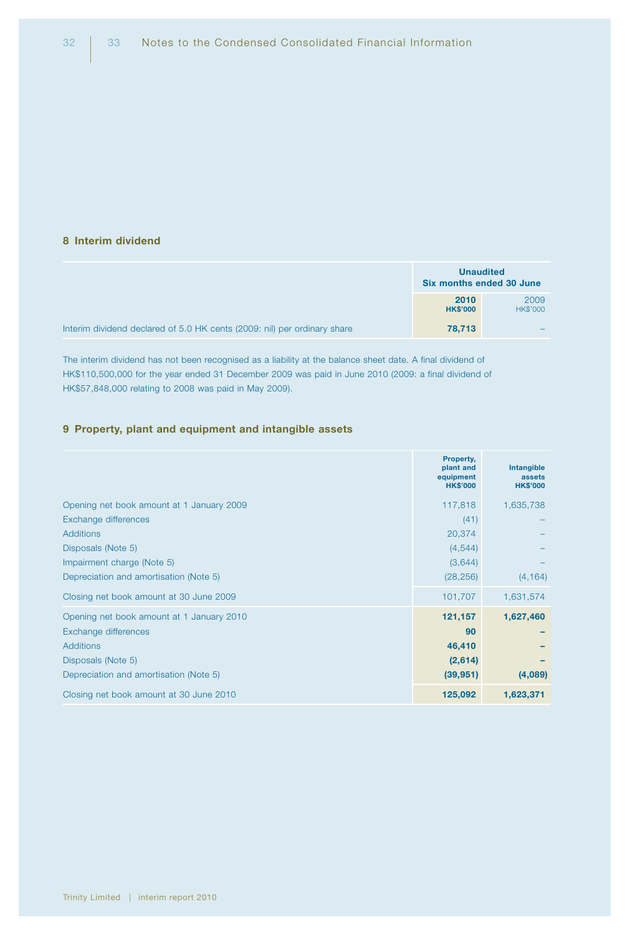#### 8 Interim dividend

|                                                                          |                         | <b>Unaudited</b><br>Six months ended 30 June |
|--------------------------------------------------------------------------|-------------------------|----------------------------------------------|
|                                                                          | 2010<br><b>HK\$'000</b> | 2009<br><b>HK\$'000</b>                      |
| Interim dividend declared of 5.0 HK cents (2009: nil) per ordinary share | 78,713                  |                                              |

The interim dividend has not been recognised as a liability at the balance sheet date. A final dividend of HK\$110,500,000 for the year ended 31 December 2009 was paid in June 2010 (2009: a final dividend of HK\$57,848,000 relating to 2008 was paid in May 2009).

#### 9 Property, plant and equipment and intangible assets

|                                           | Property,<br>plant and<br>equipment<br><b>HK\$'000</b> | <b>Intangible</b><br>assets<br><b>HK\$'000</b> |
|-------------------------------------------|--------------------------------------------------------|------------------------------------------------|
| Opening net book amount at 1 January 2009 | 117,818                                                | 1,635,738                                      |
| Exchange differences                      | (41)                                                   |                                                |
| <b>Additions</b>                          | 20,374                                                 |                                                |
| Disposals (Note 5)                        | (4, 544)                                               |                                                |
| Impairment charge (Note 5)                | (3,644)                                                |                                                |
| Depreciation and amortisation (Note 5)    | (28, 256)                                              | (4, 164)                                       |
| Closing net book amount at 30 June 2009   | 101,707                                                | 1,631,574                                      |
| Opening net book amount at 1 January 2010 | 121,157                                                | 1,627,460                                      |
| Exchange differences                      | 90                                                     |                                                |
| <b>Additions</b>                          | 46,410                                                 |                                                |
| Disposals (Note 5)                        | (2,614)                                                |                                                |
| Depreciation and amortisation (Note 5)    | (39, 951)                                              | (4,089)                                        |
| Closing net book amount at 30 June 2010   | 125,092                                                | 1,623,371                                      |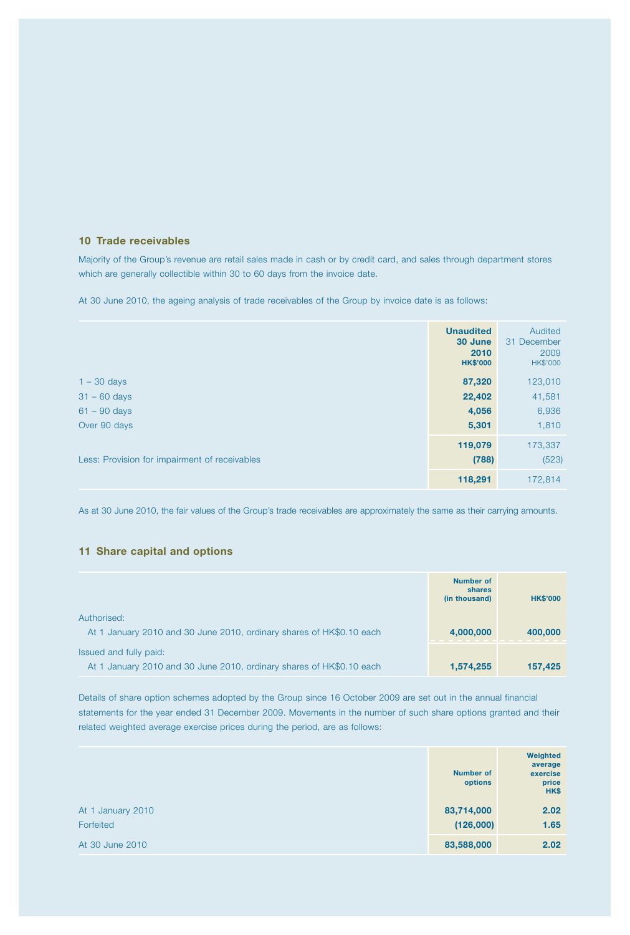#### 10 Trade receivables

Majority of the Group's revenue are retail sales made in cash or by credit card, and sales through department stores which are generally collectible within 30 to 60 days from the invoice date.

At 30 June 2010, the ageing analysis of trade receivables of the Group by invoice date is as follows:

|                                               | <b>Unaudited</b><br>30 June<br>2010<br><b>HK\$'000</b> | Audited<br>31 December<br>2009<br><b>HK\$'000</b> |
|-----------------------------------------------|--------------------------------------------------------|---------------------------------------------------|
| $1 - 30$ days                                 | 87,320                                                 | 123,010                                           |
| $31 - 60$ days                                | 22,402                                                 | 41,581                                            |
| $61 - 90$ days                                | 4,056                                                  | 6,936                                             |
| Over 90 days                                  | 5,301                                                  | 1,810                                             |
| Less: Provision for impairment of receivables | 119,079<br>(788)                                       | 173,337<br>(523)                                  |
|                                               | 118,291                                                | 172,814                                           |

As at 30 June 2010, the fair values of the Group's trade receivables are approximately the same as their carrying amounts.

#### 11 Share capital and options

|                                                                      | Number of<br>shares<br>(in thousand) | <b>HK\$'000</b> |
|----------------------------------------------------------------------|--------------------------------------|-----------------|
| Authorised:                                                          |                                      |                 |
| At 1 January 2010 and 30 June 2010, ordinary shares of HK\$0.10 each | 4,000,000                            | 400,000         |
| Issued and fully paid:                                               |                                      |                 |
| At 1 January 2010 and 30 June 2010, ordinary shares of HK\$0.10 each | 1,574,255                            | 157,425         |

Details of share option schemes adopted by the Group since 16 October 2009 are set out in the annual financial statements for the year ended 31 December 2009. Movements in the number of such share options granted and their related weighted average exercise prices during the period, are as follows:

|                   | <b>Number of</b><br>options | Weighted<br>average<br>exercise<br>price<br>HK\$ |
|-------------------|-----------------------------|--------------------------------------------------|
| At 1 January 2010 | 83,714,000                  | 2.02                                             |
| Forfeited         | (126,000)                   | 1.65                                             |
| At 30 June 2010   | 83,588,000                  | 2.02                                             |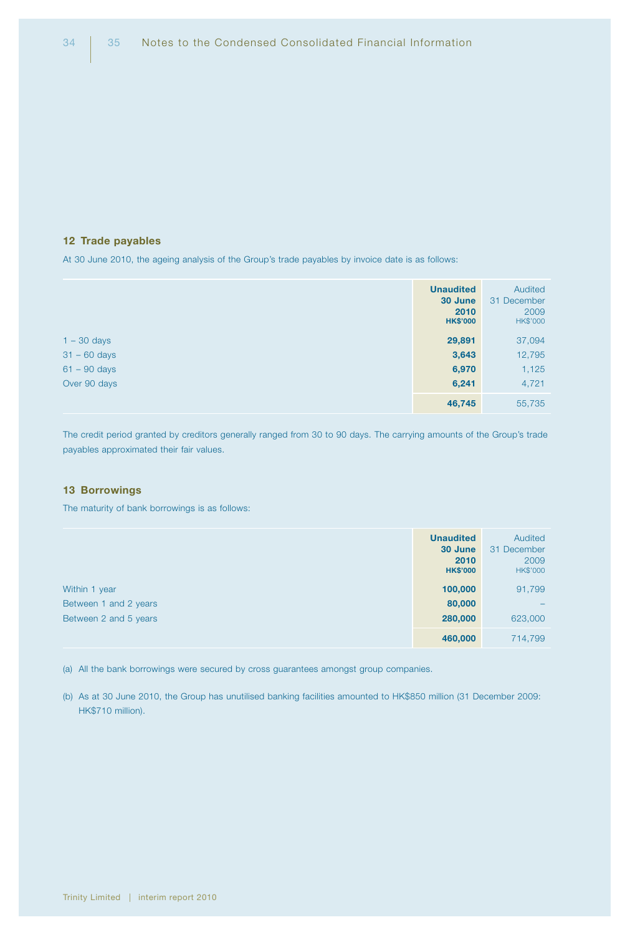#### 12 Trade payables

At 30 June 2010, the ageing analysis of the Group's trade payables by invoice date is as follows:

|                | <b>Unaudited</b><br>30 June<br>2010<br><b>HK\$'000</b> | Audited<br>31 December<br>2009<br><b>HK\$'000</b> |
|----------------|--------------------------------------------------------|---------------------------------------------------|
| $1 - 30$ days  | 29,891                                                 | 37,094                                            |
| $31 - 60$ days | 3,643                                                  | 12,795                                            |
| $61 - 90$ days | 6,970                                                  | 1,125                                             |
| Over 90 days   | 6,241                                                  | 4,721                                             |
|                | 46,745                                                 | 55,735                                            |

The credit period granted by creditors generally ranged from 30 to 90 days. The carrying amounts of the Group's trade payables approximated their fair values.

#### 13 Borrowings

The maturity of bank borrowings is as follows:

|                       | <b>Unaudited</b><br>30 June<br>2010<br><b>HK\$'000</b> | Audited<br>31 December<br>2009<br>HK\$'000 |
|-----------------------|--------------------------------------------------------|--------------------------------------------|
| Within 1 year         | 100,000                                                | 91,799                                     |
| Between 1 and 2 years | 80,000                                                 |                                            |
| Between 2 and 5 years | 280,000                                                | 623,000                                    |
|                       | 460,000                                                | 714,799                                    |

(a) All the bank borrowings were secured by cross guarantees amongst group companies.

(b) As at 30 June 2010, the Group has unutilised banking facilities amounted to HK\$850 million (31 December 2009: HK\$710 million).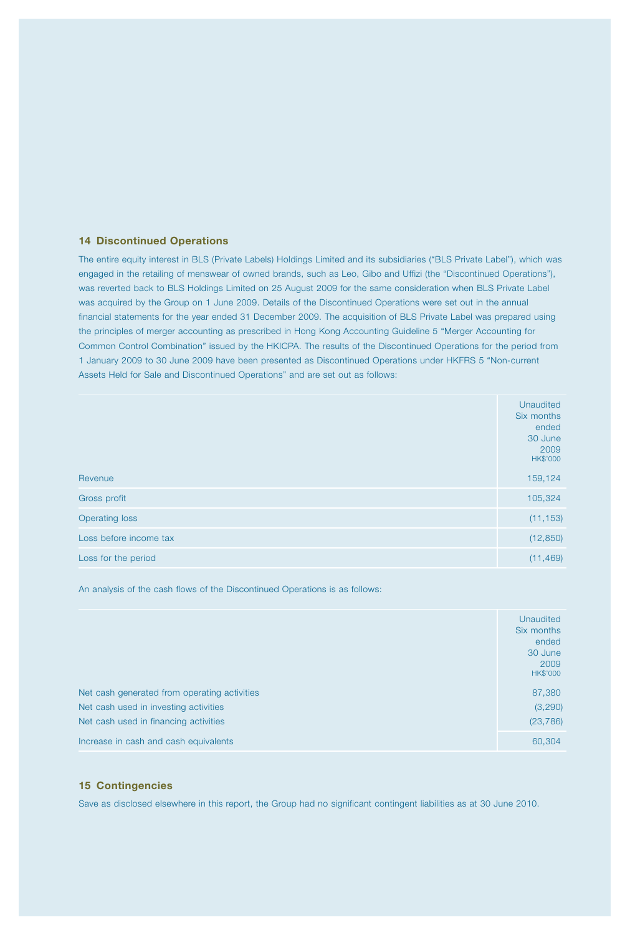#### 14 Discontinued Operations

The entire equity interest in BLS (Private Labels) Holdings Limited and its subsidiaries ("BLS Private Label"), which was engaged in the retailing of menswear of owned brands, such as Leo, Gibo and Uffizi (the "Discontinued Operations"), was reverted back to BLS Holdings Limited on 25 August 2009 for the same consideration when BLS Private Label was acquired by the Group on 1 June 2009. Details of the Discontinued Operations were set out in the annual financial statements for the year ended 31 December 2009. The acquisition of BLS Private Label was prepared using the principles of merger accounting as prescribed in Hong Kong Accounting Guideline 5 "Merger Accounting for Common Control Combination" issued by the HKICPA. The results of the Discontinued Operations for the period from 1 January 2009 to 30 June 2009 have been presented as Discontinued Operations under HKFRS 5 "Non-current Assets Held for Sale and Discontinued Operations" and are set out as follows:

|                        | <b>Unaudited</b><br>Six months<br>ended<br>30 June<br>2009<br><b>HK\$'000</b> |
|------------------------|-------------------------------------------------------------------------------|
| Revenue                | 159,124                                                                       |
| Gross profit           | 105,324                                                                       |
| <b>Operating loss</b>  | (11, 153)                                                                     |
| Loss before income tax | (12, 850)                                                                     |
| Loss for the period    | (11, 469)                                                                     |

An analysis of the cash flows of the Discontinued Operations is as follows:

|                                              | Unaudited<br>Six months<br>ended<br>30 June<br>2009<br>HK\$'000 |
|----------------------------------------------|-----------------------------------------------------------------|
| Net cash generated from operating activities | 87,380                                                          |
| Net cash used in investing activities        | (3,290)                                                         |
| Net cash used in financing activities        | (23, 786)                                                       |
| Increase in cash and cash equivalents        | 60,304                                                          |

#### 15 Contingencies

Save as disclosed elsewhere in this report, the Group had no significant contingent liabilities as at 30 June 2010.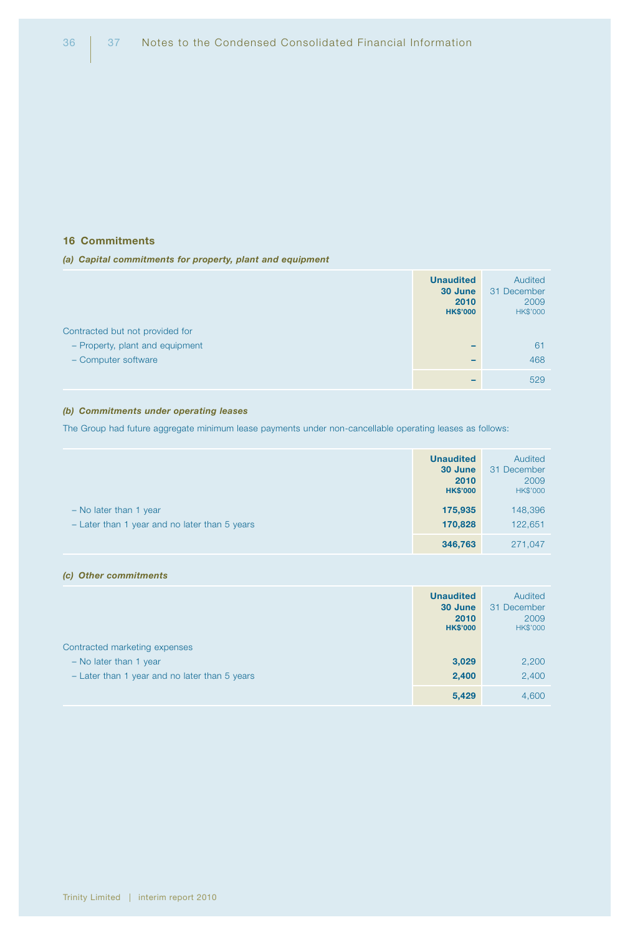#### 16 Commitments

#### *(a) Capital commitments for property, plant and equipment*

|                                 | <b>Unaudited</b><br>30 June<br>2010<br><b>HK\$'000</b> | Audited<br>31 December<br>2009<br><b>HK\$'000</b> |
|---------------------------------|--------------------------------------------------------|---------------------------------------------------|
| Contracted but not provided for |                                                        |                                                   |
| - Property, plant and equipment |                                                        | 61                                                |
| - Computer software             |                                                        | 468                                               |
|                                 |                                                        | 529                                               |

## *(b) Commitments under operating leases*

The Group had future aggregate minimum lease payments under non-cancellable operating leases as follows:

|                                                                           | <b>Unaudited</b><br>30 June<br>2010<br><b>HK\$'000</b> | Audited<br>31 December<br>2009<br>HK\$'000 |
|---------------------------------------------------------------------------|--------------------------------------------------------|--------------------------------------------|
| $-$ No later than 1 year<br>- Later than 1 year and no later than 5 years | 175,935<br>170,828                                     | 148,396<br>122,651                         |
|                                                                           | 346,763                                                | 271.047                                    |

#### *(c) Other commitments*

|                                               | <b>Unaudited</b><br>30 June<br>2010<br><b>HK\$'000</b> | Audited<br>31 December<br>2009<br>HK\$'000 |
|-----------------------------------------------|--------------------------------------------------------|--------------------------------------------|
| Contracted marketing expenses                 |                                                        |                                            |
| $-$ No later than 1 year                      | 3,029                                                  | 2,200                                      |
| - Later than 1 year and no later than 5 years | 2,400                                                  | 2,400                                      |
|                                               | 5,429                                                  | 4,600                                      |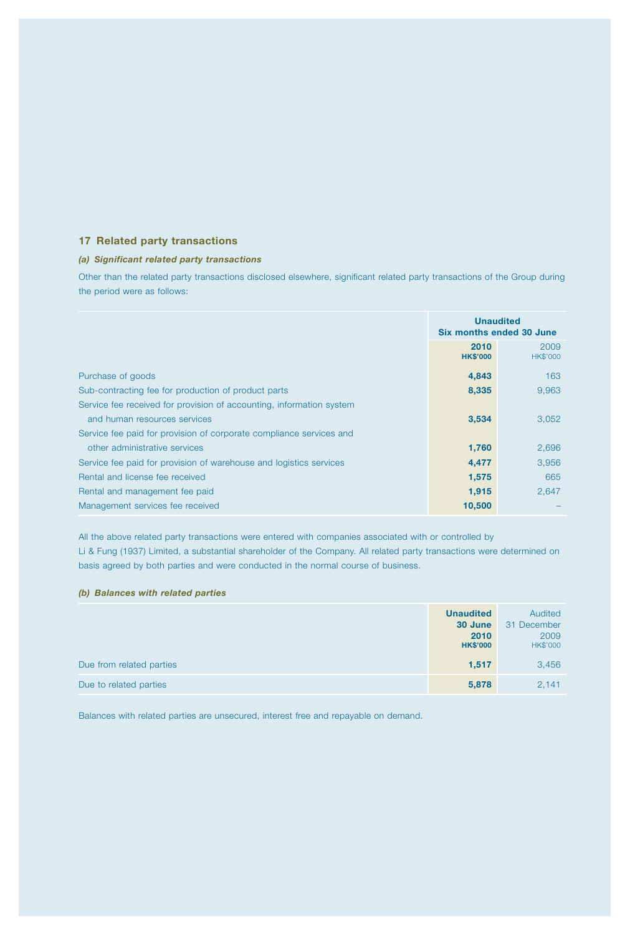## 17 Related party transactions

#### *(a) Significant related party transactions*

Other than the related party transactions disclosed elsewhere, significant related party transactions of the Group during the period were as follows:

|                                                                      | <b>Unaudited</b><br>Six months ended 30 June |                         |
|----------------------------------------------------------------------|----------------------------------------------|-------------------------|
|                                                                      | 2010<br><b>HK\$'000</b>                      | 2009<br><b>HK\$'000</b> |
| Purchase of goods                                                    | 4,843                                        | 163                     |
| Sub-contracting fee for production of product parts                  | 8,335                                        | 9,963                   |
| Service fee received for provision of accounting, information system |                                              |                         |
| and human resources services                                         | 3,534                                        | 3,052                   |
| Service fee paid for provision of corporate compliance services and  |                                              |                         |
| other administrative services                                        | 1,760                                        | 2,696                   |
| Service fee paid for provision of warehouse and logistics services   | 4,477                                        | 3,956                   |
| Rental and license fee received                                      | 1,575                                        | 665                     |
| Rental and management fee paid                                       | 1,915                                        | 2.647                   |
| Management services fee received                                     | 10,500                                       |                         |

All the above related party transactions were entered with companies associated with or controlled by Li & Fung (1937) Limited, a substantial shareholder of the Company. All related party transactions were determined on

basis agreed by both parties and were conducted in the normal course of business.

#### *(b) Balances with related parties*

|                          | <b>Unaudited</b><br>30 June<br>2010<br><b>HK\$'000</b> | Audited<br>31 December<br>2009<br><b>HK\$'000</b> |
|--------------------------|--------------------------------------------------------|---------------------------------------------------|
| Due from related parties | 1,517                                                  | 3,456                                             |
| Due to related parties   | 5,878                                                  | 2,141                                             |

Balances with related parties are unsecured, interest free and repayable on demand.